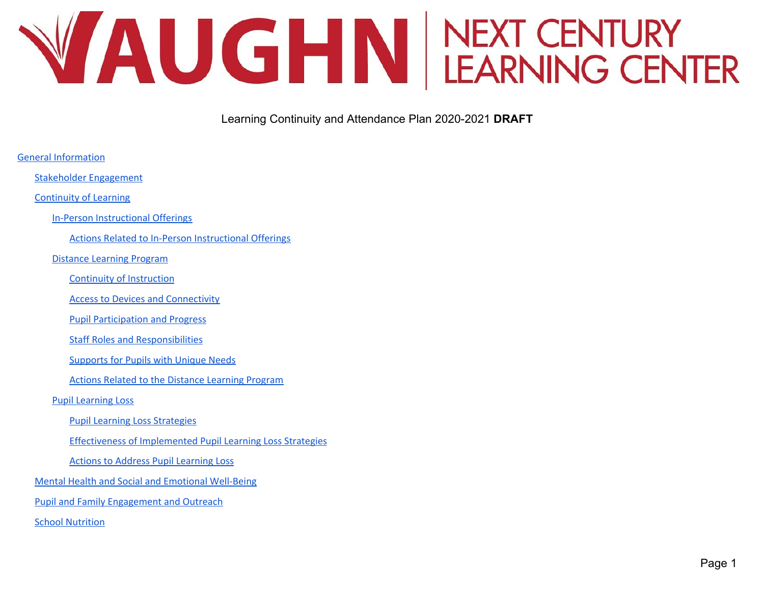# WAUGHN NEXT CENTURY

Learning Continuity and Attendance Plan 2020-2021 **DRAFT**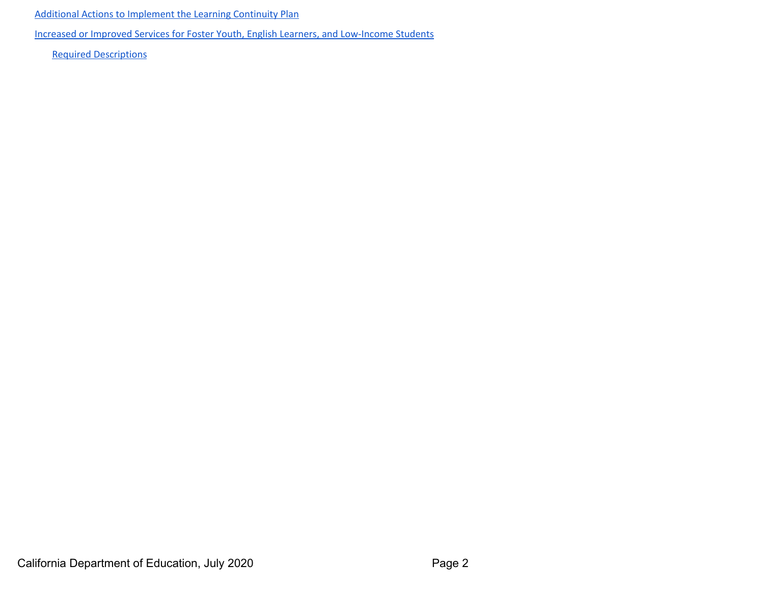Additional Actions to [Implement](#page-37-0) the Learning Continuity Plan

Increased or Improved Services for Foster Youth, English Learners, and [Low-Income](#page-37-1) Students

Required [Descriptions](#page-37-2)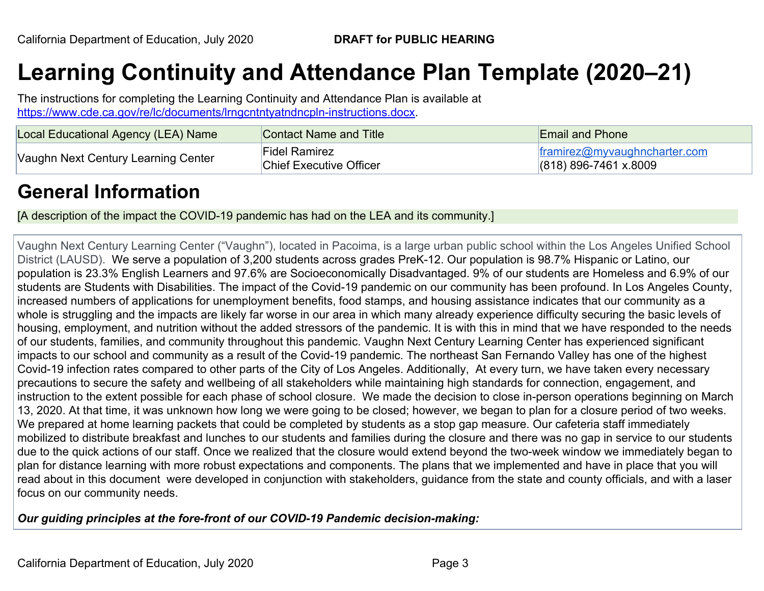# **Learning Continuity and Attendance Plan Template (2020–21)**

The instructions for completing the Learning Continuity and Attendance Plan is available at <https://www.cde.ca.gov/re/lc/documents/lrngcntntyatndncpln-instructions.docx>.

| Local Educational Agency (LEA) Name | Contact Name and Title                          | <b>Email and Phone</b>                                  |
|-------------------------------------|-------------------------------------------------|---------------------------------------------------------|
| Vaughn Next Century Learning Center | Fidel Ramirez<br><b>Chief Executive Officer</b> | framirez@myvaughncharter.com<br>$(818)$ 896-7461 x.8009 |

# <span id="page-2-0"></span>**General Information**

[A description of the impact the COVID-19 pandemic has had on the LEA and its community.]

Vaughn Next Century Learning Center ("Vaughn"), located in Pacoima, is a large urban public school within the Los Angeles Unified School District (LAUSD). We serve a population of 3,200 students across grades PreK-12. Our population is 98.7% Hispanic or Latino, our population is 23.3% English Learners and 97.6% are Socioeconomically Disadvantaged. 9% of our students are Homeless and 6.9% of our students are Students with Disabilities. The impact of the Covid-19 pandemic on our community has been profound. In Los Angeles County, increased numbers of applications for unemployment benefits, food stamps, and housing assistance indicates that our community as a whole is struggling and the impacts are likely far worse in our area in which many already experience difficulty securing the basic levels of housing, employment, and nutrition without the added stressors of the pandemic. It is with this in mind that we have responded to the needs of our students, families, and community throughout this pandemic. Vaughn Next Century Learning Center has experienced significant impacts to our school and community as a result of the Covid-19 pandemic. The northeast San Fernando Valley has one of the highest Covid-19 infection rates compared to other parts of the City of Los Angeles. Additionally, At every turn, we have taken every necessary precautions to secure the safety and wellbeing of all stakeholders while maintaining high standards for connection, engagement, and instruction to the extent possible for each phase of school closure. We made the decision to close in-person operations beginning on March 13, 2020. At that time, it was unknown how long we were going to be closed; however, we began to plan for a closure period of two weeks. We prepared at home learning packets that could be completed by students as a stop gap measure. Our cafeteria staff immediately mobilized to distribute breakfast and lunches to our students and families during the closure and there was no gap in service to our students due to the quick actions of our staff. Once we realized that the closure would extend beyond the two-week window we immediately began to plan for distance learning with more robust expectations and components. The plans that we implemented and have in place that you will read about in this document were developed in conjunction with stakeholders, guidance from the state and county officials, and with a laser focus on our community needs.

#### *Our guiding principles at the fore-front of our COVID-19 Pandemic decision-making:*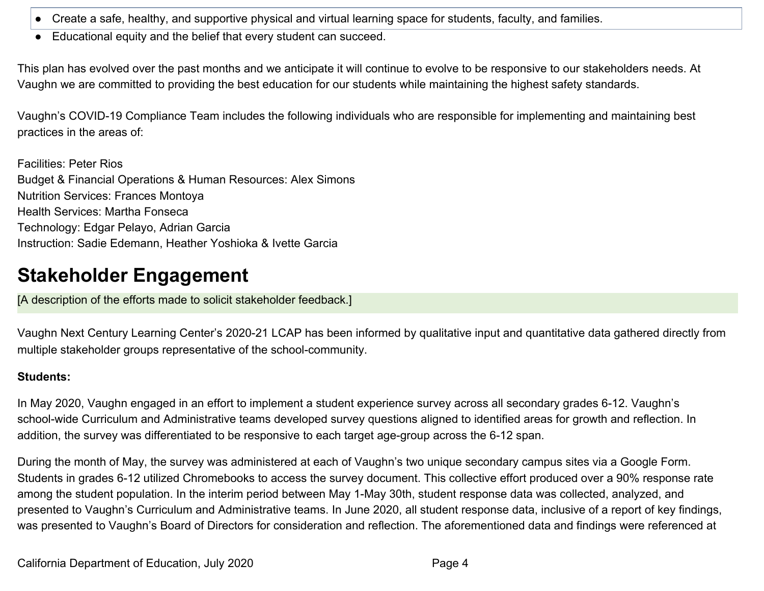- Create a safe, healthy, and supportive physical and virtual learning space for students, faculty, and families.
- Educational equity and the belief that every student can succeed.

This plan has evolved over the past months and we anticipate it will continue to evolve to be responsive to our stakeholders needs. At Vaughn we are committed to providing the best education for our students while maintaining the highest safety standards.

Vaughn's COVID-19 Compliance Team includes the following individuals who are responsible for implementing and maintaining best practices in the areas of:

Facilities: Peter Rios Budget & Financial Operations & Human Resources: Alex Simons Nutrition Services: Frances Montoya Health Services: Martha Fonseca Technology: Edgar Pelayo, Adrian Garcia Instruction: Sadie Edemann, Heather Yoshioka & Ivette Garcia

# <span id="page-3-0"></span>**Stakeholder Engagement**

[A description of the efforts made to solicit stakeholder feedback.]

Vaughn Next Century Learning Center's 2020-21 LCAP has been informed by qualitative input and quantitative data gathered directly from multiple stakeholder groups representative of the school-community.

#### **Students:**

In May 2020, Vaughn engaged in an effort to implement a student experience survey across all secondary grades 6-12. Vaughn's school-wide Curriculum and Administrative teams developed survey questions aligned to identified areas for growth and reflection. In addition, the survey was differentiated to be responsive to each target age-group across the 6-12 span.

During the month of May, the survey was administered at each of Vaughn's two unique secondary campus sites via a Google Form. Students in grades 6-12 utilized Chromebooks to access the survey document. This collective effort produced over a 90% response rate among the student population. In the interim period between May 1-May 30th, student response data was collected, analyzed, and presented to Vaughn's Curriculum and Administrative teams. In June 2020, all student response data, inclusive of a report of key findings, was presented to Vaughn's Board of Directors for consideration and reflection. The aforementioned data and findings were referenced at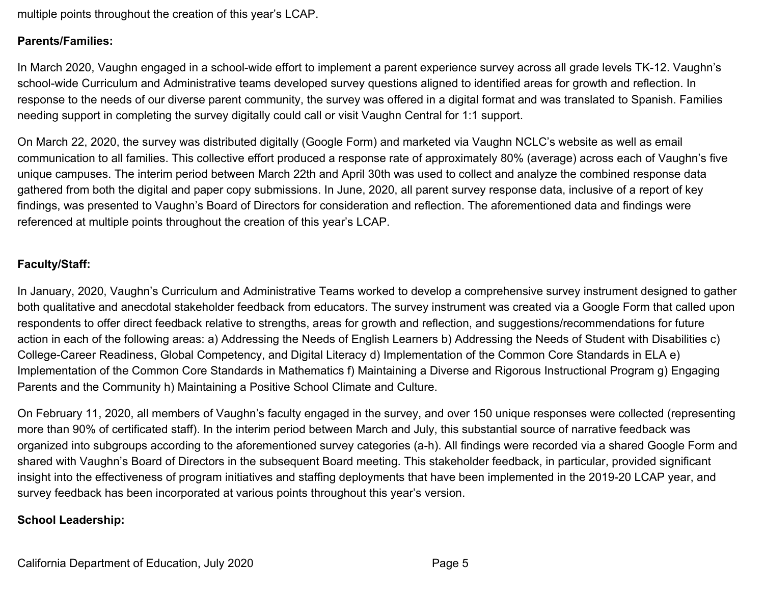multiple points throughout the creation of this year's LCAP.

#### **Parents/Families:**

In March 2020, Vaughn engaged in a school-wide effort to implement a parent experience survey across all grade levels TK-12. Vaughn's school-wide Curriculum and Administrative teams developed survey questions aligned to identified areas for growth and reflection. In response to the needs of our diverse parent community, the survey was offered in a digital format and was translated to Spanish. Families needing support in completing the survey digitally could call or visit Vaughn Central for 1:1 support.

On March 22, 2020, the survey was distributed digitally (Google Form) and marketed via Vaughn NCLC's website as well as email communication to all families. This collective effort produced a response rate of approximately 80% (average) across each of Vaughn's five unique campuses. The interim period between March 22th and April 30th was used to collect and analyze the combined response data gathered from both the digital and paper copy submissions. In June, 2020, all parent survey response data, inclusive of a report of key findings, was presented to Vaughn's Board of Directors for consideration and reflection. The aforementioned data and findings were referenced at multiple points throughout the creation of this year's LCAP.

#### **Faculty/Staff:**

In January, 2020, Vaughn's Curriculum and Administrative Teams worked to develop a comprehensive survey instrument designed to gather both qualitative and anecdotal stakeholder feedback from educators. The survey instrument was created via a Google Form that called upon respondents to offer direct feedback relative to strengths, areas for growth and reflection, and suggestions/recommendations for future action in each of the following areas: a) Addressing the Needs of English Learners b) Addressing the Needs of Student with Disabilities c) College-Career Readiness, Global Competency, and Digital Literacy d) Implementation of the Common Core Standards in ELA e) Implementation of the Common Core Standards in Mathematics f) Maintaining a Diverse and Rigorous Instructional Program g) Engaging Parents and the Community h) Maintaining a Positive School Climate and Culture.

On February 11, 2020, all members of Vaughn's faculty engaged in the survey, and over 150 unique responses were collected (representing more than 90% of certificated staff). In the interim period between March and July, this substantial source of narrative feedback was organized into subgroups according to the aforementioned survey categories (a-h). All findings were recorded via a shared Google Form and shared with Vaughn's Board of Directors in the subsequent Board meeting. This stakeholder feedback, in particular, provided significant insight into the effectiveness of program initiatives and staffing deployments that have been implemented in the 2019-20 LCAP year, and survey feedback has been incorporated at various points throughout this year's version.

#### **School Leadership:**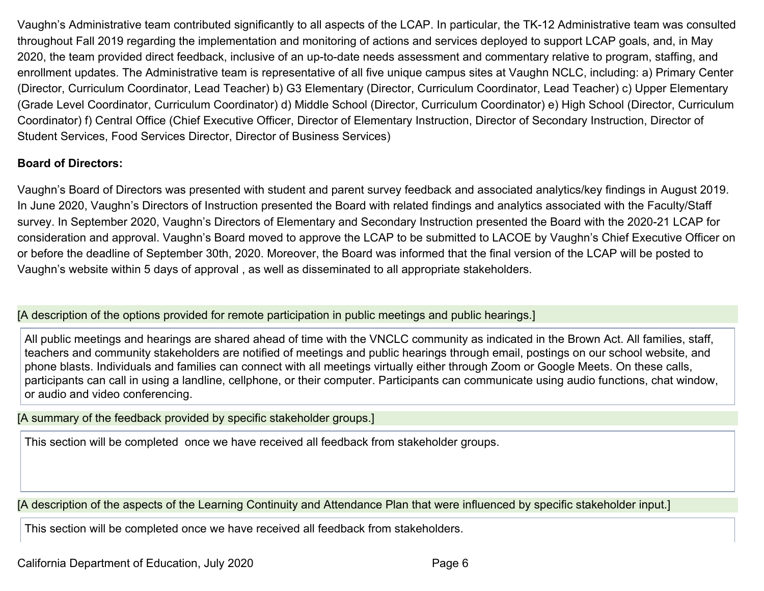Vaughn's Administrative team contributed significantly to all aspects of the LCAP. In particular, the TK-12 Administrative team was consulted throughout Fall 2019 regarding the implementation and monitoring of actions and services deployed to support LCAP goals, and, in May 2020, the team provided direct feedback, inclusive of an up-to-date needs assessment and commentary relative to program, staffing, and enrollment updates. The Administrative team is representative of all five unique campus sites at Vaughn NCLC, including: a) Primary Center (Director, Curriculum Coordinator, Lead Teacher) b) G3 Elementary (Director, Curriculum Coordinator, Lead Teacher) c) Upper Elementary (Grade Level Coordinator, Curriculum Coordinator) d) Middle School (Director, Curriculum Coordinator) e) High School (Director, Curriculum Coordinator) f) Central Office (Chief Executive Officer, Director of Elementary Instruction, Director of Secondary Instruction, Director of Student Services, Food Services Director, Director of Business Services)

#### **Board of Directors:**

Vaughn's Board of Directors was presented with student and parent survey feedback and associated analytics/key findings in August 2019. In June 2020, Vaughn's Directors of Instruction presented the Board with related findings and analytics associated with the Faculty/Staff survey. In September 2020, Vaughn's Directors of Elementary and Secondary Instruction presented the Board with the 2020-21 LCAP for consideration and approval. Vaughn's Board moved to approve the LCAP to be submitted to LACOE by Vaughn's Chief Executive Officer on or before the deadline of September 30th, 2020. Moreover, the Board was informed that the final version of the LCAP will be posted to Vaughn's website within 5 days of approval , as well as disseminated to all appropriate stakeholders.

[A description of the options provided for remote participation in public meetings and public hearings.]

All public meetings and hearings are shared ahead of time with the VNCLC community as indicated in the Brown Act. All families, staff, teachers and community stakeholders are notified of meetings and public hearings through email, postings on our school website, and phone blasts. Individuals and families can connect with all meetings virtually either through Zoom or Google Meets. On these calls, participants can call in using a landline, cellphone, or their computer. Participants can communicate using audio functions, chat window, or audio and video conferencing.

[A summary of the feedback provided by specific stakeholder groups.]

This section will be completed once we have received all feedback from stakeholder groups.

[A description of the aspects of the Learning Continuity and Attendance Plan that were influenced by specific stakeholder input.]

This section will be completed once we have received all feedback from stakeholders.

California Department of Education, July 2020 **Page 6** Page 6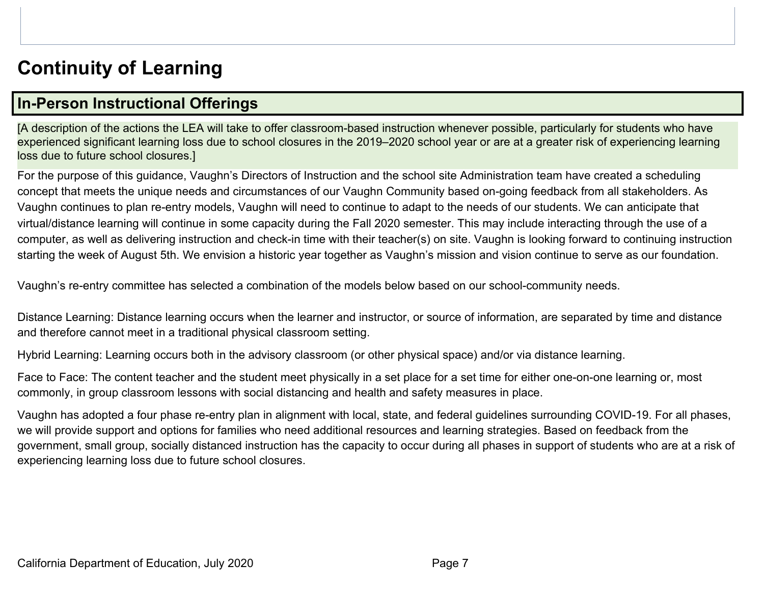# <span id="page-6-0"></span>**Continuity of Learning**

# <span id="page-6-1"></span>**In-Person Instructional Offerings**

[A description of the actions the LEA will take to offer classroom-based instruction whenever possible, particularly for students who have experienced significant learning loss due to school closures in the 2019–2020 school year or are at a greater risk of experiencing learning loss due to future school closures.]

For the purpose of this guidance, Vaughn's Directors of Instruction and the school site Administration team have created a scheduling concept that meets the unique needs and circumstances of our Vaughn Community based on-going feedback from all stakeholders. As Vaughn continues to plan re-entry models, Vaughn will need to continue to adapt to the needs of our students. We can anticipate that virtual/distance learning will continue in some capacity during the Fall 2020 semester. This may include interacting through the use of a computer, as well as delivering instruction and check-in time with their teacher(s) on site. Vaughn is looking forward to continuing instruction starting the week of August 5th. We envision a historic year together as Vaughn's mission and vision continue to serve as our foundation.

Vaughn's re-entry committee has selected a combination of the models below based on our school-community needs.

Distance Learning: Distance learning occurs when the learner and instructor, or source of information, are separated by time and distance and therefore cannot meet in a traditional physical classroom setting.

Hybrid Learning: Learning occurs both in the advisory classroom (or other physical space) and/or via distance learning.

Face to Face: The content teacher and the student meet physically in a set place for a set time for either one-on-one learning or, most commonly, in group classroom lessons with social distancing and health and safety measures in place.

Vaughn has adopted a four phase re-entry plan in alignment with local, state, and federal guidelines surrounding COVID-19. For all phases, we will provide support and options for families who need additional resources and learning strategies. Based on feedback from the government, small group, socially distanced instruction has the capacity to occur during all phases in support of students who are at a risk of experiencing learning loss due to future school closures.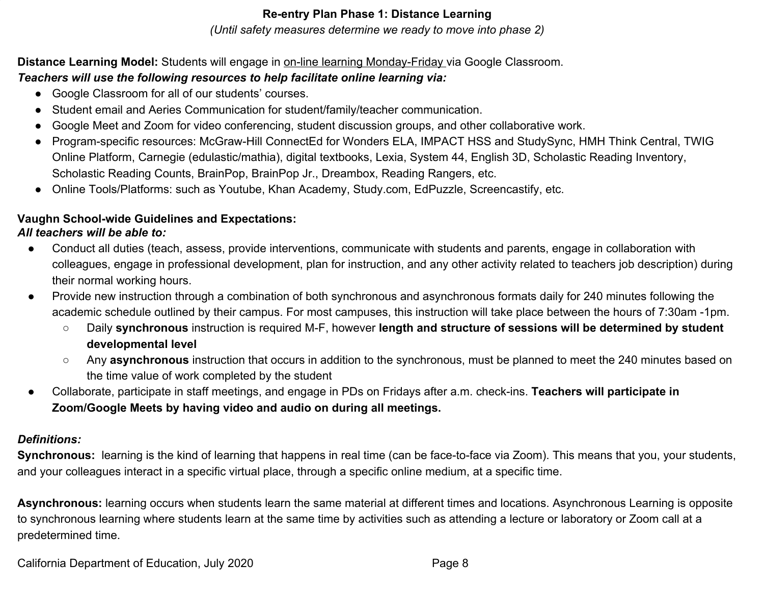#### **Re-entry Plan Phase 1: Distance Learning**

#### *(Until safety measures determine we ready to move into phase 2)*

#### **Distance Learning Model:** Students will engage in on-line learning Monday-Friday via Google Classroom. *Teachers will use the following resources to help facilitate online learning via:*

- - Google Classroom for all of our students' courses.
	- Student email and Aeries Communication for student/family/teacher communication.
	- Google Meet and Zoom for video conferencing, student discussion groups, and other collaborative work.
	- Program-specific resources: McGraw-Hill ConnectEd for Wonders ELA, IMPACT HSS and StudySync, HMH Think Central, TWIG Online Platform, Carnegie (edulastic/mathia), digital textbooks, Lexia, System 44, English 3D, Scholastic Reading Inventory, Scholastic Reading Counts, BrainPop, BrainPop Jr., Dreambox, Reading Rangers, etc.
	- Online Tools/Platforms: such as Youtube, Khan Academy, Study.com, EdPuzzle, Screencastify, etc.

#### **Vaughn School-wide Guidelines and Expectations:**

#### *All teachers will be able to:*

- Conduct all duties (teach, assess, provide interventions, communicate with students and parents, engage in collaboration with colleagues, engage in professional development, plan for instruction, and any other activity related to teachers job description) during their normal working hours.
- Provide new instruction through a combination of both synchronous and asynchronous formats daily for 240 minutes following the academic schedule outlined by their campus. For most campuses, this instruction will take place between the hours of 7:30am -1pm.
	- Daily **synchronous** instruction is required M-F, however **length and structure of sessions will be determined by student developmental level**
	- Any **asynchronous** instruction that occurs in addition to the synchronous, must be planned to meet the 240 minutes based on the time value of work completed by the student
- Collaborate, participate in staff meetings, and engage in PDs on Fridays after a.m. check-ins. **Teachers will participate in Zoom/Google Meets by having video and audio on during all meetings.**

#### *Definitions:*

**Synchronous:** learning is the kind of learning that happens in real time (can be face-to-face via Zoom). This means that you, your students, and your colleagues interact in a specific virtual place, through a specific online medium, at a specific time.

Asynchronous: learning occurs when students learn the same material at different times and locations. Asynchronous Learning is opposite to synchronous learning where students learn at the same time by activities such as attending a lecture or laboratory or Zoom call at a predetermined time.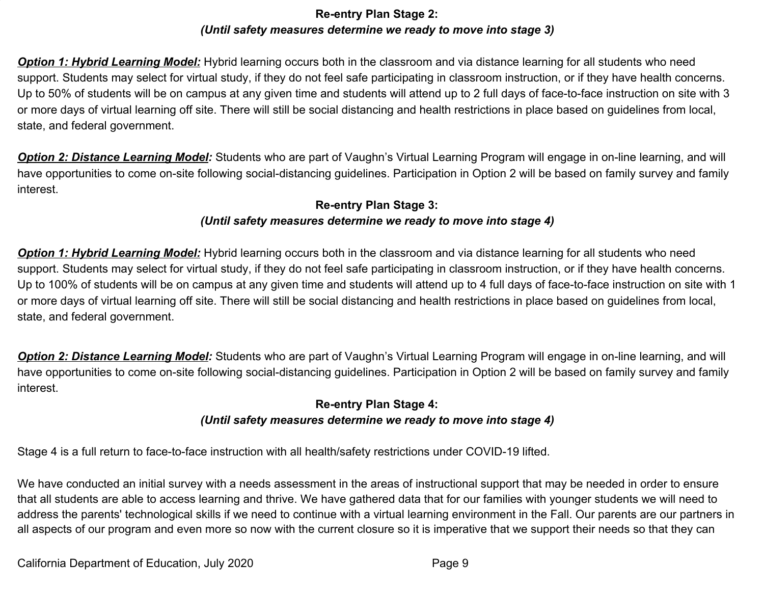#### **Re-entry Plan Stage 2:** *(Until safety measures determine we ready to move into stage 3)*

**Option 1: Hybrid Learning Model:** Hybrid learning occurs both in the classroom and via distance learning for all students who need support. Students may select for virtual study, if they do not feel safe participating in classroom instruction, or if they have health concerns. Up to 50% of students will be on campus at any given time and students will attend up to 2 full days of face-to-face instruction on site with 3 or more days of virtual learning off site. There will still be social distancing and health restrictions in place based on guidelines from local, state, and federal government.

*Option 2: Distance Learning Model:* Students who are part of Vaughn's Virtual Learning Program will engage in on-line learning, and will have opportunities to come on-site following social-distancing guidelines. Participation in Option 2 will be based on family survey and family interest.

#### **Re-entry Plan Stage 3:** *(Until safety measures determine we ready to move into stage 4)*

*Option 1: Hybrid Learning Model:* Hybrid learning occurs both in the classroom and via distance learning for all students who need support. Students may select for virtual study, if they do not feel safe participating in classroom instruction, or if they have health concerns. Up to 100% of students will be on campus at any given time and students will attend up to 4 full days of face-to-face instruction on site with 1 or more days of virtual learning off site. There will still be social distancing and health restrictions in place based on guidelines from local, state, and federal government.

*Option 2: Distance Learning Model:* Students who are part of Vaughn's Virtual Learning Program will engage in on-line learning, and will have opportunities to come on-site following social-distancing guidelines. Participation in Option 2 will be based on family survey and family interest.

#### **Re-entry Plan Stage 4:**

#### *(Until safety measures determine we ready to move into stage 4)*

Stage 4 is a full return to face-to-face instruction with all health/safety restrictions under COVID-19 lifted.

We have conducted an initial survey with a needs assessment in the areas of instructional support that may be needed in order to ensure that all students are able to access learning and thrive. We have gathered data that for our families with younger students we will need to address the parents' technological skills if we need to continue with a virtual learning environment in the Fall. Our parents are our partners in all aspects of our program and even more so now with the current closure so it is imperative that we support their needs so that they can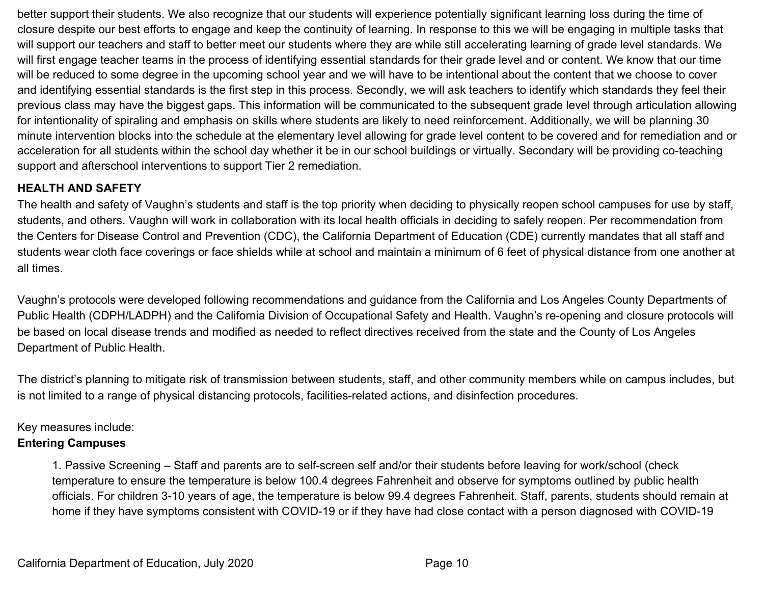better support their students. We also recognize that our students will experience potentially significant learning loss during the time of closure despite our best efforts to engage and keep the continuity of learning. In response to this we will be engaging in multiple tasks that will support our teachers and staff to better meet our students where they are while still accelerating learning of grade level standards. We will first engage teacher teams in the process of identifying essential standards for their grade level and or content. We know that our time will be reduced to some degree in the upcoming school year and we will have to be intentional about the content that we choose to cover and identifying essential standards is the first step in this process. Secondly, we will ask teachers to identify which standards they feel their previous class may have the biggest gaps. This information will be communicated to the subsequent grade level through articulation allowing for intentionality of spiraling and emphasis on skills where students are likely to need reinforcement. Additionally, we will be planning 30 minute intervention blocks into the schedule at the elementary level allowing for grade level content to be covered and for remediation and or acceleration for all students within the school day whether it be in our school buildings or virtually. Secondary will be providing co-teaching support and afterschool interventions to support Tier 2 remediation.

#### **HEALTH AND SAFETY**

The health and safety of Vaughn's students and staff is the top priority when deciding to physically reopen school campuses for use by staff, students, and others. Vaughn will work in collaboration with its local health officials in deciding to safely reopen. Per recommendation from the Centers for Disease Control and Prevention (CDC), the California Department of Education (CDE) currently mandates that all staff and students wear cloth face coverings or face shields while at school and maintain a minimum of 6 feet of physical distance from one another at all times.

Vaughn's protocols were developed following recommendations and guidance from the California and Los Angeles County Departments of Public Health (CDPH/LADPH) and the California Division of Occupational Safety and Health. Vaughn's re-opening and closure protocols will be based on local disease trends and modified as needed to reflect directives received from the state and the County of Los Angeles Department of Public Health.

The district's planning to mitigate risk of transmission between students, staff, and other community members while on campus includes, but is not limited to a range of physical distancing protocols, facilities-related actions, and disinfection procedures.

#### Key measures include:

#### **Entering Campuses**

1. Passive Screening – Staff and parents are to self-screen self and/or their students before leaving for work/school (check temperature to ensure the temperature is below 100.4 degrees Fahrenheit and observe for symptoms outlined by public health officials. For children 3-10 years of age, the temperature is below 99.4 degrees Fahrenheit. Staff, parents, students should remain at home if they have symptoms consistent with COVID-19 or if they have had close contact with a person diagnosed with COVID-19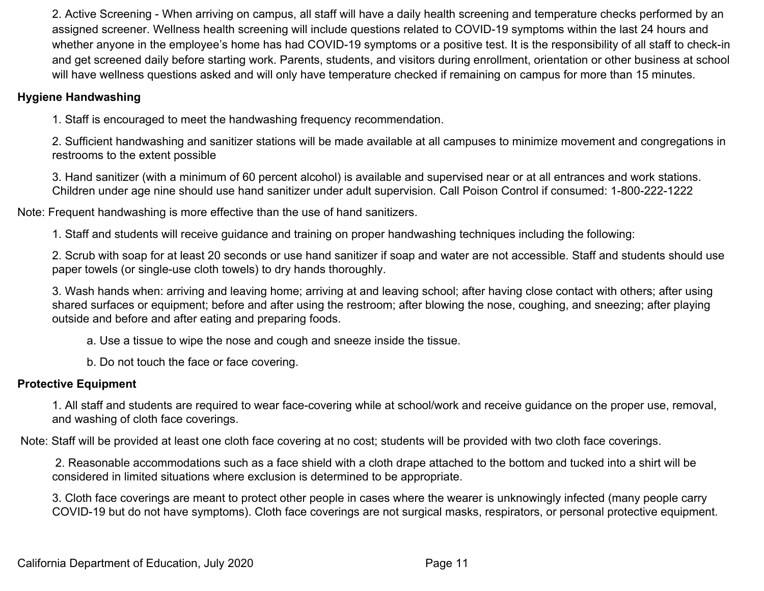2. Active Screening - When arriving on campus, all staff will have a daily health screening and temperature checks performed by an assigned screener. Wellness health screening will include questions related to COVID-19 symptoms within the last 24 hours and whether anyone in the employee's home has had COVID-19 symptoms or a positive test. It is the responsibility of all staff to check-in and get screened daily before starting work. Parents, students, and visitors during enrollment, orientation or other business at school will have wellness questions asked and will only have temperature checked if remaining on campus for more than 15 minutes.

#### **Hygiene Handwashing**

1. Staff is encouraged to meet the handwashing frequency recommendation.

2. Sufficient handwashing and sanitizer stations will be made available at all campuses to minimize movement and congregations in restrooms to the extent possible

3. Hand sanitizer (with a minimum of 60 percent alcohol) is available and supervised near or at all entrances and work stations. Children under age nine should use hand sanitizer under adult supervision. Call Poison Control if consumed: 1-800-222-1222

Note: Frequent handwashing is more effective than the use of hand sanitizers.

1. Staff and students will receive guidance and training on proper handwashing techniques including the following:

2. Scrub with soap for at least 20 seconds or use hand sanitizer if soap and water are not accessible. Staff and students should use paper towels (or single-use cloth towels) to dry hands thoroughly.

3. Wash hands when: arriving and leaving home; arriving at and leaving school; after having close contact with others; after using shared surfaces or equipment; before and after using the restroom; after blowing the nose, coughing, and sneezing; after playing outside and before and after eating and preparing foods.

a. Use a tissue to wipe the nose and cough and sneeze inside the tissue.

b. Do not touch the face or face covering.

#### **Protective Equipment**

1. All staff and students are required to wear face-covering while at school/work and receive guidance on the proper use, removal, and washing of cloth face coverings.

Note: Staff will be provided at least one cloth face covering at no cost; students will be provided with two cloth face coverings.

 2. Reasonable accommodations such as a face shield with a cloth drape attached to the bottom and tucked into a shirt will be considered in limited situations where exclusion is determined to be appropriate.

3. Cloth face coverings are meant to protect other people in cases where the wearer is unknowingly infected (many people carry COVID-19 but do not have symptoms). Cloth face coverings are not surgical masks, respirators, or personal protective equipment.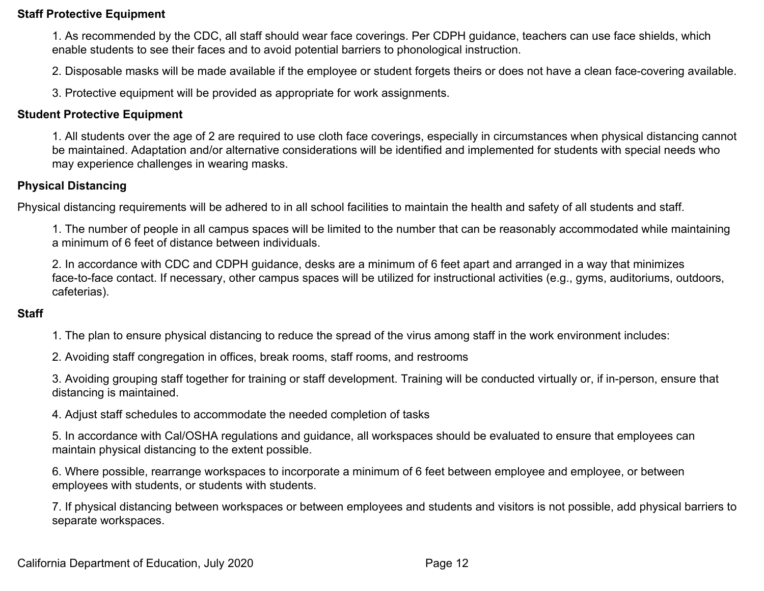#### **Staff Protective Equipment**

1. As recommended by the CDC, all staff should wear face coverings. Per CDPH guidance, teachers can use face shields, which enable students to see their faces and to avoid potential barriers to phonological instruction.

2. Disposable masks will be made available if the employee or student forgets theirs or does not have a clean face-covering available.

3. Protective equipment will be provided as appropriate for work assignments.

#### **Student Protective Equipment**

1. All students over the age of 2 are required to use cloth face coverings, especially in circumstances when physical distancing cannot be maintained. Adaptation and/or alternative considerations will be identified and implemented for students with special needs who may experience challenges in wearing masks.

#### **Physical Distancing**

Physical distancing requirements will be adhered to in all school facilities to maintain the health and safety of all students and staff.

1. The number of people in all campus spaces will be limited to the number that can be reasonably accommodated while maintaining a minimum of 6 feet of distance between individuals.

2. In accordance with CDC and CDPH guidance, desks are a minimum of 6 feet apart and arranged in a way that minimizes face-to-face contact. If necessary, other campus spaces will be utilized for instructional activities (e.g., gyms, auditoriums, outdoors, cafeterias).

#### **Staff**

1. The plan to ensure physical distancing to reduce the spread of the virus among staff in the work environment includes:

2. Avoiding staff congregation in offices, break rooms, staff rooms, and restrooms

3. Avoiding grouping staff together for training or staff development. Training will be conducted virtually or, if in-person, ensure that distancing is maintained.

4. Adjust staff schedules to accommodate the needed completion of tasks

5. In accordance with Cal/OSHA regulations and guidance, all workspaces should be evaluated to ensure that employees can maintain physical distancing to the extent possible.

6. Where possible, rearrange workspaces to incorporate a minimum of 6 feet between employee and employee, or between employees with students, or students with students.

7. If physical distancing between workspaces or between employees and students and visitors is not possible, add physical barriers to separate workspaces.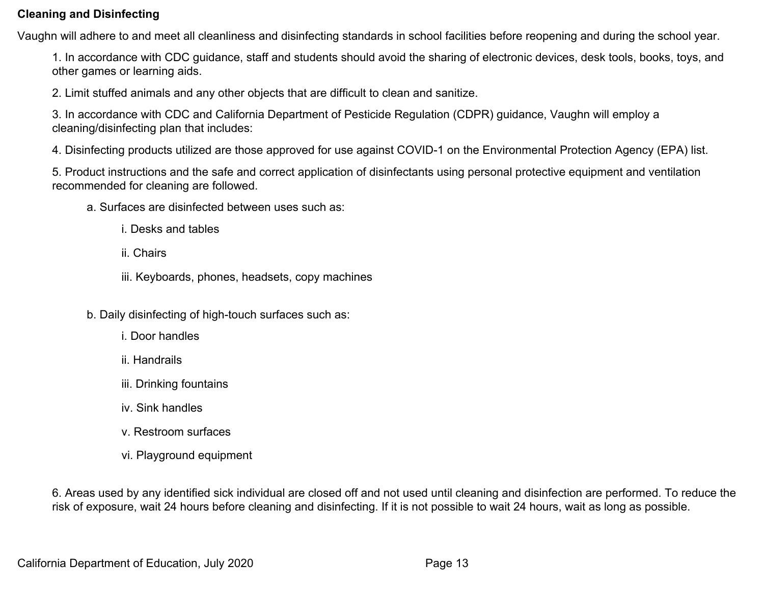#### **Cleaning and Disinfecting**

Vaughn will adhere to and meet all cleanliness and disinfecting standards in school facilities before reopening and during the school year.

1. In accordance with CDC guidance, staff and students should avoid the sharing of electronic devices, desk tools, books, toys, and other games or learning aids.

2. Limit stuffed animals and any other objects that are difficult to clean and sanitize.

3. In accordance with CDC and California Department of Pesticide Regulation (CDPR) guidance, Vaughn will employ a cleaning/disinfecting plan that includes:

4. Disinfecting products utilized are those approved for use against COVID-1 on the Environmental Protection Agency (EPA) list.

5. Product instructions and the safe and correct application of disinfectants using personal protective equipment and ventilation recommended for cleaning are followed.

- a. Surfaces are disinfected between uses such as:
	- i. Desks and tables
	- ii. Chairs
	- iii. Keyboards, phones, headsets, copy machines
- b. Daily disinfecting of high-touch surfaces such as:
	- i. Door handles
	- ii. Handrails
	- iii. Drinking fountains
	- iv. Sink handles
	- v. Restroom surfaces
	- vi. Playground equipment

6. Areas used by any identified sick individual are closed off and not used until cleaning and disinfection are performed. To reduce the risk of exposure, wait 24 hours before cleaning and disinfecting. If it is not possible to wait 24 hours, wait as long as possible.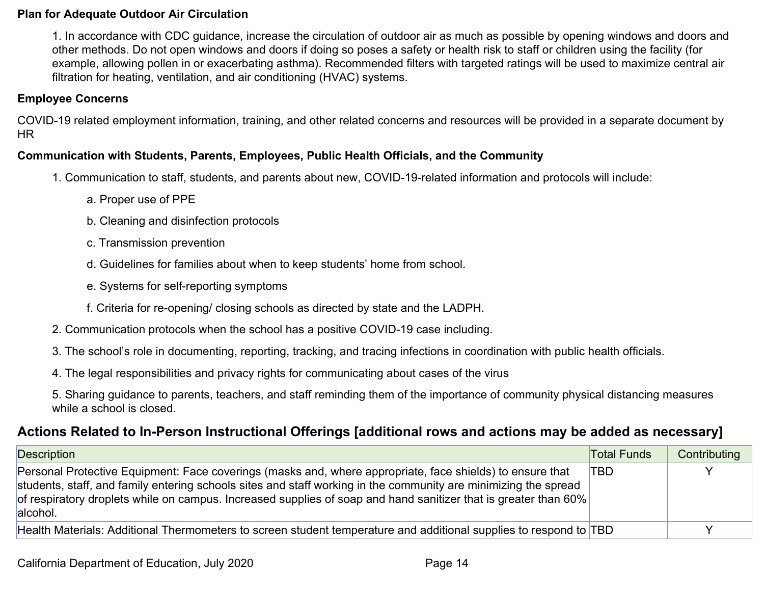#### **Plan for Adequate Outdoor Air Circulation**

1. In accordance with CDC guidance, increase the circulation of outdoor air as much as possible by opening windows and doors and other methods. Do not open windows and doors if doing so poses a safety or health risk to staff or children using the facility (for example, allowing pollen in or exacerbating asthma). Recommended filters with targeted ratings will be used to maximize central air filtration for heating, ventilation, and air conditioning (HVAC) systems.

#### **Employee Concerns**

COVID-19 related employment information, training, and other related concerns and resources will be provided in a separate document by HR

#### **Communication with Students, Parents, Employees, Public Health Officials, and the Community**

- 1. Communication to staff, students, and parents about new, COVID-19-related information and protocols will include:
	- a. Proper use of PPE
	- b. Cleaning and disinfection protocols
	- c. Transmission prevention
	- d. Guidelines for families about when to keep students' home from school.
	- e. Systems for self-reporting symptoms
	- f. Criteria for re-opening/ closing schools as directed by state and the LADPH.
- 2. Communication protocols when the school has a positive COVID-19 case including.
- 3. The school's role in documenting, reporting, tracking, and tracing infections in coordination with public health officials.
- 4. The legal responsibilities and privacy rights for communicating about cases of the virus

5. Sharing guidance to parents, teachers, and staff reminding them of the importance of community physical distancing measures while a school is closed.

## <span id="page-13-0"></span>**Actions Related to In-Person Instructional Offerings [additional rows and actions may be added as necessary]**

| Description                                                                                                                                                                                                                                                                                                                                                 | <b>Total Funds</b> | Contributing |
|-------------------------------------------------------------------------------------------------------------------------------------------------------------------------------------------------------------------------------------------------------------------------------------------------------------------------------------------------------------|--------------------|--------------|
| Personal Protective Equipment: Face coverings (masks and, where appropriate, face shields) to ensure that<br>students, staff, and family entering schools sites and staff working in the community are minimizing the spread<br>of respiratory droplets while on campus. Increased supplies of soap and hand sanitizer that is greater than 60%<br>alcohol. | TBD                |              |
| Health Materials: Additional Thermometers to screen student temperature and additional supplies to respond to TBD                                                                                                                                                                                                                                           |                    |              |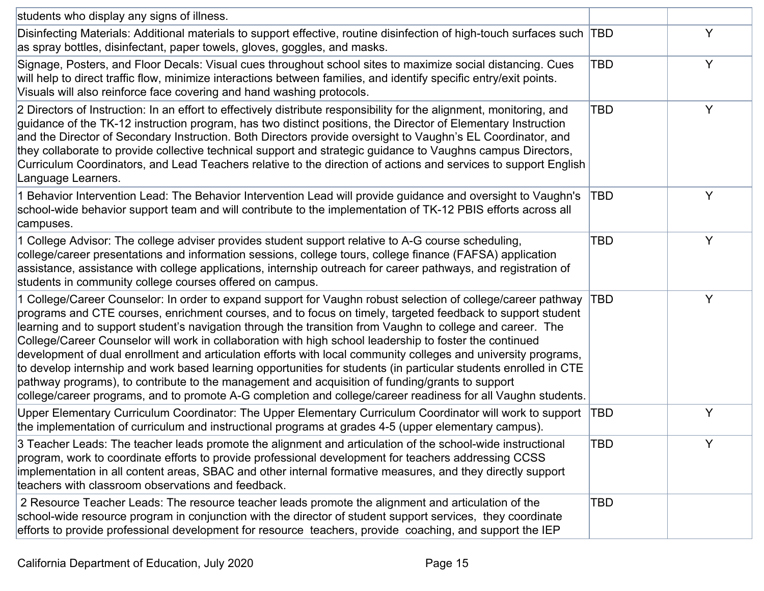| students who display any signs of illness.                                                                                                                                                                                                                                                                                                                                                                                                                                                                                                                                                                                                                                                                                                                                                                                                                                                                   |            |   |
|--------------------------------------------------------------------------------------------------------------------------------------------------------------------------------------------------------------------------------------------------------------------------------------------------------------------------------------------------------------------------------------------------------------------------------------------------------------------------------------------------------------------------------------------------------------------------------------------------------------------------------------------------------------------------------------------------------------------------------------------------------------------------------------------------------------------------------------------------------------------------------------------------------------|------------|---|
| Disinfecting Materials: Additional materials to support effective, routine disinfection of high-touch surfaces such<br>as spray bottles, disinfectant, paper towels, gloves, goggles, and masks.                                                                                                                                                                                                                                                                                                                                                                                                                                                                                                                                                                                                                                                                                                             | TBD        | Y |
| Signage, Posters, and Floor Decals: Visual cues throughout school sites to maximize social distancing. Cues<br>will help to direct traffic flow, minimize interactions between families, and identify specific entry/exit points.<br>Visuals will also reinforce face covering and hand washing protocols.                                                                                                                                                                                                                                                                                                                                                                                                                                                                                                                                                                                                   | TBD        | Y |
| 2 Directors of Instruction: In an effort to effectively distribute responsibility for the alignment, monitoring, and<br>guidance of the TK-12 instruction program, has two distinct positions, the Director of Elementary Instruction<br>and the Director of Secondary Instruction. Both Directors provide oversight to Vaughn's EL Coordinator, and<br>they collaborate to provide collective technical support and strategic guidance to Vaughns campus Directors,<br>Curriculum Coordinators, and Lead Teachers relative to the direction of actions and services to support English<br>Language Learners.                                                                                                                                                                                                                                                                                                | TBD        | Y |
| 1 Behavior Intervention Lead: The Behavior Intervention Lead will provide guidance and oversight to Vaughn's<br>school-wide behavior support team and will contribute to the implementation of TK-12 PBIS efforts across all<br>campuses.                                                                                                                                                                                                                                                                                                                                                                                                                                                                                                                                                                                                                                                                    | TBD        | Y |
| 1 College Advisor: The college adviser provides student support relative to A-G course scheduling,<br>college/career presentations and information sessions, college tours, college finance (FAFSA) application<br>assistance, assistance with college applications, internship outreach for career pathways, and registration of<br>students in community college courses offered on campus.                                                                                                                                                                                                                                                                                                                                                                                                                                                                                                                | TBD        | Y |
| 1 College/Career Counselor: In order to expand support for Vaughn robust selection of college/career pathway<br>programs and CTE courses, enrichment courses, and to focus on timely, targeted feedback to support student<br>learning and to support student's navigation through the transition from Vaughn to college and career. The<br>College/Career Counselor will work in collaboration with high school leadership to foster the continued<br>development of dual enrollment and articulation efforts with local community colleges and university programs,<br>to develop internship and work based learning opportunities for students (in particular students enrolled in CTE<br>pathway programs), to contribute to the management and acquisition of funding/grants to support<br>college/career programs, and to promote A-G completion and college/career readiness for all Vaughn students. | TBD        | Y |
| Upper Elementary Curriculum Coordinator: The Upper Elementary Curriculum Coordinator will work to support<br>the implementation of curriculum and instructional programs at grades 4-5 (upper elementary campus).                                                                                                                                                                                                                                                                                                                                                                                                                                                                                                                                                                                                                                                                                            | TBD        | Y |
| 3 Teacher Leads: The teacher leads promote the alignment and articulation of the school-wide instructional<br>program, work to coordinate efforts to provide professional development for teachers addressing CCSS<br>implementation in all content areas, SBAC and other internal formative measures, and they directly support<br>teachers with classroom observations and feedback.                                                                                                                                                                                                                                                                                                                                                                                                                                                                                                                       | <b>TBD</b> |   |
| 2 Resource Teacher Leads: The resource teacher leads promote the alignment and articulation of the<br>school-wide resource program in conjunction with the director of student support services, they coordinate<br>efforts to provide professional development for resource teachers, provide coaching, and support the IEP                                                                                                                                                                                                                                                                                                                                                                                                                                                                                                                                                                                 | TBD        |   |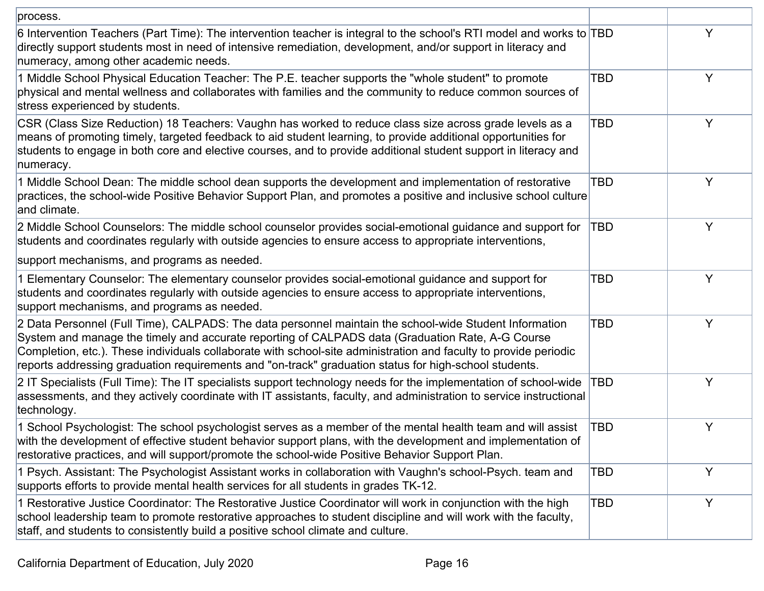| process.                                                                                                                                                                                                                                                                                                                                                                                                                                |            |   |
|-----------------------------------------------------------------------------------------------------------------------------------------------------------------------------------------------------------------------------------------------------------------------------------------------------------------------------------------------------------------------------------------------------------------------------------------|------------|---|
| 6 Intervention Teachers (Part Time): The intervention teacher is integral to the school's RTI model and works to TBD<br>directly support students most in need of intensive remediation, development, and/or support in literacy and<br>numeracy, among other academic needs.                                                                                                                                                           |            | Y |
| 1 Middle School Physical Education Teacher: The P.E. teacher supports the "whole student" to promote<br>physical and mental wellness and collaborates with families and the community to reduce common sources of<br>stress experienced by students.                                                                                                                                                                                    | TBD        | Y |
| CSR (Class Size Reduction) 18 Teachers: Vaughn has worked to reduce class size across grade levels as a<br>means of promoting timely, targeted feedback to aid student learning, to provide additional opportunities for<br>students to engage in both core and elective courses, and to provide additional student support in literacy and<br>numeracy.                                                                                | TBD        | Y |
| 1 Middle School Dean: The middle school dean supports the development and implementation of restorative<br>practices, the school-wide Positive Behavior Support Plan, and promotes a positive and inclusive school culture<br>and climate.                                                                                                                                                                                              | TBD        | Y |
| 2 Middle School Counselors: The middle school counselor provides social-emotional guidance and support for<br>students and coordinates regularly with outside agencies to ensure access to appropriate interventions,                                                                                                                                                                                                                   | TBD        | Y |
| support mechanisms, and programs as needed.                                                                                                                                                                                                                                                                                                                                                                                             |            |   |
| 1 Elementary Counselor: The elementary counselor provides social-emotional guidance and support for<br>students and coordinates regularly with outside agencies to ensure access to appropriate interventions,<br>support mechanisms, and programs as needed.                                                                                                                                                                           | <b>TBD</b> | Y |
| 2 Data Personnel (Full Time), CALPADS: The data personnel maintain the school-wide Student Information<br>System and manage the timely and accurate reporting of CALPADS data (Graduation Rate, A-G Course<br>Completion, etc.). These individuals collaborate with school-site administration and faculty to provide periodic<br>reports addressing graduation requirements and "on-track" graduation status for high-school students. | <b>TBD</b> | Y |
| 2 IT Specialists (Full Time): The IT specialists support technology needs for the implementation of school-wide<br>assessments, and they actively coordinate with IT assistants, faculty, and administration to service instructional<br>technology.                                                                                                                                                                                    | TBD        | Y |
| 1 School Psychologist: The school psychologist serves as a member of the mental health team and will assist<br>with the development of effective student behavior support plans, with the development and implementation of<br>restorative practices, and will support/promote the school-wide Positive Behavior Support Plan.                                                                                                          | <b>TBD</b> | Y |
| 1 Psych. Assistant: The Psychologist Assistant works in collaboration with Vaughn's school-Psych. team and<br>supports efforts to provide mental health services for all students in grades TK-12.                                                                                                                                                                                                                                      | TBD        | Υ |
| 1 Restorative Justice Coordinator: The Restorative Justice Coordinator will work in conjunction with the high<br>school leadership team to promote restorative approaches to student discipline and will work with the faculty,<br>staff, and students to consistently build a positive school climate and culture.                                                                                                                     | <b>TBD</b> | Y |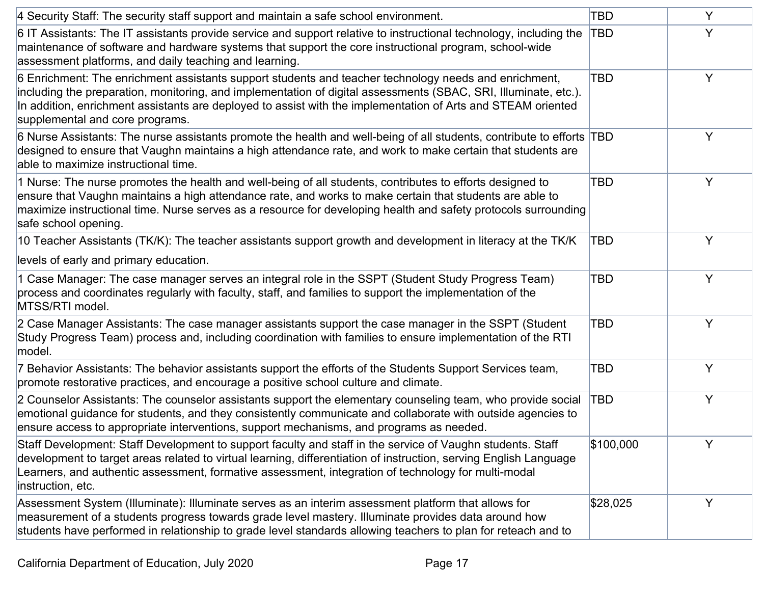| 4 Security Staff: The security staff support and maintain a safe school environment.                                                                                                                                                                                                                                                                                        | TBD       | Y |
|-----------------------------------------------------------------------------------------------------------------------------------------------------------------------------------------------------------------------------------------------------------------------------------------------------------------------------------------------------------------------------|-----------|---|
| 6 IT Assistants: The IT assistants provide service and support relative to instructional technology, including the<br>maintenance of software and hardware systems that support the core instructional program, school-wide<br>assessment platforms, and daily teaching and learning.                                                                                       | TBD       | Y |
| 6 Enrichment: The enrichment assistants support students and teacher technology needs and enrichment,<br>including the preparation, monitoring, and implementation of digital assessments (SBAC, SRI, Illuminate, etc.).<br>In addition, enrichment assistants are deployed to assist with the implementation of Arts and STEAM oriented<br>supplemental and core programs. | TBD       | Y |
| 6 Nurse Assistants: The nurse assistants promote the health and well-being of all students, contribute to efforts TBD<br>designed to ensure that Vaughn maintains a high attendance rate, and work to make certain that students are<br>able to maximize instructional time.                                                                                                |           | Y |
| 1 Nurse: The nurse promotes the health and well-being of all students, contributes to efforts designed to<br>ensure that Vaughn maintains a high attendance rate, and works to make certain that students are able to<br>maximize instructional time. Nurse serves as a resource for developing health and safety protocols surrounding<br>safe school opening.             | TBD       | Y |
| 10 Teacher Assistants (TK/K): The teacher assistants support growth and development in literacy at the TK/K                                                                                                                                                                                                                                                                 | TBD       | Y |
| levels of early and primary education.                                                                                                                                                                                                                                                                                                                                      |           |   |
| 1 Case Manager: The case manager serves an integral role in the SSPT (Student Study Progress Team)<br>process and coordinates regularly with faculty, staff, and families to support the implementation of the<br>MTSS/RTI model.                                                                                                                                           | TBD       | Y |
| 2 Case Manager Assistants: The case manager assistants support the case manager in the SSPT (Student<br>Study Progress Team) process and, including coordination with families to ensure implementation of the RTI<br>model.                                                                                                                                                | TBD       | Y |
| 7 Behavior Assistants: The behavior assistants support the efforts of the Students Support Services team,<br>promote restorative practices, and encourage a positive school culture and climate.                                                                                                                                                                            | TBD       | Y |
| 2 Counselor Assistants: The counselor assistants support the elementary counseling team, who provide social<br>emotional guidance for students, and they consistently communicate and collaborate with outside agencies to<br>ensure access to appropriate interventions, support mechanisms, and programs as needed.                                                       | TBD       | Y |
| Staff Development: Staff Development to support faculty and staff in the service of Vaughn students. Staff<br>development to target areas related to virtual learning, differentiation of instruction, serving English Language<br>Learners, and authentic assessment, formative assessment, integration of technology for multi-modal<br>instruction, etc.                 | \$100,000 |   |
| Assessment System (Illuminate): Illuminate serves as an interim assessment platform that allows for<br>measurement of a students progress towards grade level mastery. Illuminate provides data around how<br>students have performed in relationship to grade level standards allowing teachers to plan for reteach and to                                                 | \$28,025  | Y |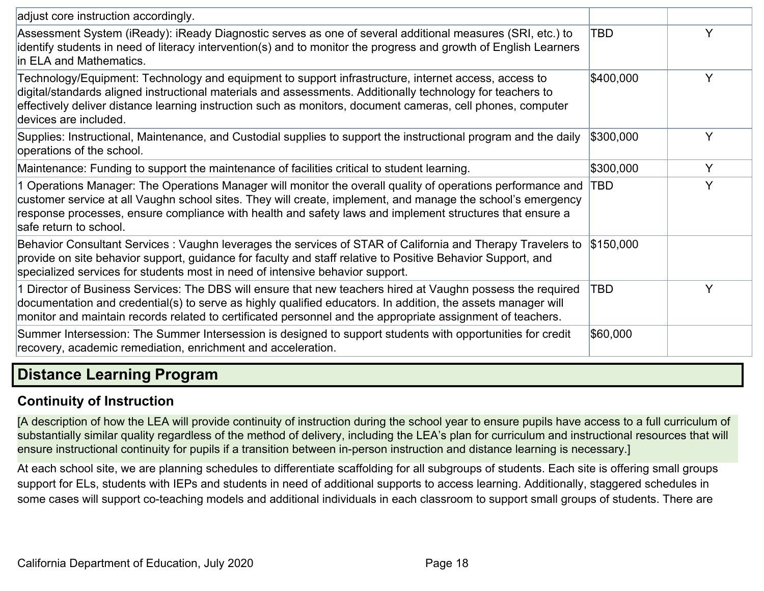| adjust core instruction accordingly.                                                                                                                                                                                                                                                                                                                             |           |   |
|------------------------------------------------------------------------------------------------------------------------------------------------------------------------------------------------------------------------------------------------------------------------------------------------------------------------------------------------------------------|-----------|---|
| Assessment System (iReady): iReady Diagnostic serves as one of several additional measures (SRI, etc.) to<br>identify students in need of literacy intervention(s) and to monitor the progress and growth of English Learners<br>in ELA and Mathematics.                                                                                                         | TBD       | Y |
| Technology/Equipment: Technology and equipment to support infrastructure, internet access, access to<br>digital/standards aligned instructional materials and assessments. Additionally technology for teachers to<br>effectively deliver distance learning instruction such as monitors, document cameras, cell phones, computer<br>devices are included.       | \$400,000 | Y |
| Supplies: Instructional, Maintenance, and Custodial supplies to support the instructional program and the daily<br>operations of the school.                                                                                                                                                                                                                     | \$300,000 | Y |
| Maintenance: Funding to support the maintenance of facilities critical to student learning.                                                                                                                                                                                                                                                                      | \$300,000 | Y |
| 1 Operations Manager: The Operations Manager will monitor the overall quality of operations performance and<br>customer service at all Vaughn school sites. They will create, implement, and manage the school's emergency<br>response processes, ensure compliance with health and safety laws and implement structures that ensure a<br>safe return to school. | TBD       | Y |
| Behavior Consultant Services: Vaughn leverages the services of STAR of California and Therapy Travelers to<br>provide on site behavior support, guidance for faculty and staff relative to Positive Behavior Support, and<br>specialized services for students most in need of intensive behavior support.                                                       | \$150,000 |   |
| 1 Director of Business Services: The DBS will ensure that new teachers hired at Vaughn possess the required<br>documentation and credential(s) to serve as highly qualified educators. In addition, the assets manager will<br>monitor and maintain records related to certificated personnel and the appropriate assignment of teachers.                        | TBD       | Y |
| Summer Intersession: The Summer Intersession is designed to support students with opportunities for credit<br>recovery, academic remediation, enrichment and acceleration.                                                                                                                                                                                       | \$60,000  |   |
| <b>Distance Learning Program</b>                                                                                                                                                                                                                                                                                                                                 |           |   |

## <span id="page-17-1"></span><span id="page-17-0"></span>**Continuity of Instruction**

[A description of how the LEA will provide continuity of instruction during the school year to ensure pupils have access to a full curriculum of substantially similar quality regardless of the method of delivery, including the LEA's plan for curriculum and instructional resources that will ensure instructional continuity for pupils if a transition between in-person instruction and distance learning is necessary.]

At each school site, we are planning schedules to differentiate scaffolding for all subgroups of students. Each site is offering small groups support for ELs, students with IEPs and students in need of additional supports to access learning. Additionally, staggered schedules in some cases will support co-teaching models and additional individuals in each classroom to support small groups of students. There are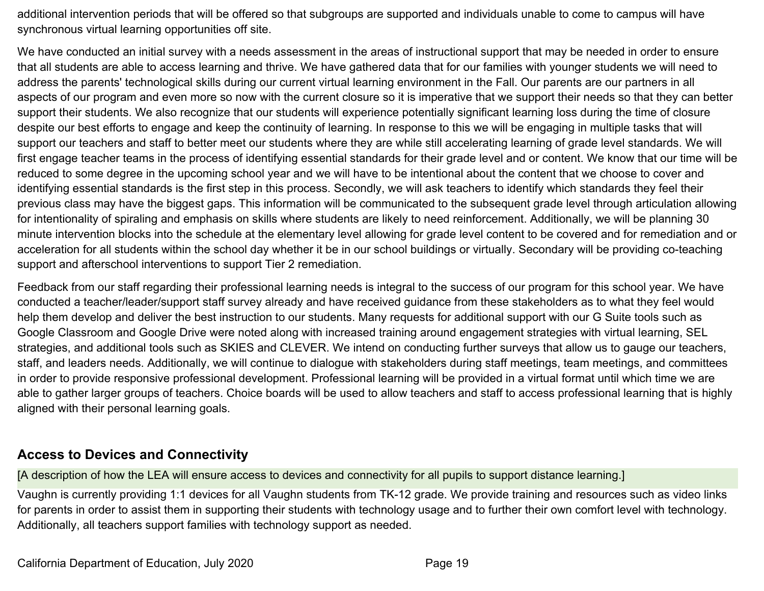additional intervention periods that will be offered so that subgroups are supported and individuals unable to come to campus will have synchronous virtual learning opportunities off site.

We have conducted an initial survey with a needs assessment in the areas of instructional support that may be needed in order to ensure that all students are able to access learning and thrive. We have gathered data that for our families with younger students we will need to address the parents' technological skills during our current virtual learning environment in the Fall. Our parents are our partners in all aspects of our program and even more so now with the current closure so it is imperative that we support their needs so that they can better support their students. We also recognize that our students will experience potentially significant learning loss during the time of closure despite our best efforts to engage and keep the continuity of learning. In response to this we will be engaging in multiple tasks that will support our teachers and staff to better meet our students where they are while still accelerating learning of grade level standards. We will first engage teacher teams in the process of identifying essential standards for their grade level and or content. We know that our time will be reduced to some degree in the upcoming school year and we will have to be intentional about the content that we choose to cover and identifying essential standards is the first step in this process. Secondly, we will ask teachers to identify which standards they feel their previous class may have the biggest gaps. This information will be communicated to the subsequent grade level through articulation allowing for intentionality of spiraling and emphasis on skills where students are likely to need reinforcement. Additionally, we will be planning 30 minute intervention blocks into the schedule at the elementary level allowing for grade level content to be covered and for remediation and or acceleration for all students within the school day whether it be in our school buildings or virtually. Secondary will be providing co-teaching support and afterschool interventions to support Tier 2 remediation.

Feedback from our staff regarding their professional learning needs is integral to the success of our program for this school year. We have conducted a teacher/leader/support staff survey already and have received guidance from these stakeholders as to what they feel would help them develop and deliver the best instruction to our students. Many requests for additional support with our G Suite tools such as Google Classroom and Google Drive were noted along with increased training around engagement strategies with virtual learning, SEL strategies, and additional tools such as SKIES and CLEVER. We intend on conducting further surveys that allow us to gauge our teachers, staff, and leaders needs. Additionally, we will continue to dialogue with stakeholders during staff meetings, team meetings, and committees in order to provide responsive professional development. Professional learning will be provided in a virtual format until which time we are able to gather larger groups of teachers. Choice boards will be used to allow teachers and staff to access professional learning that is highly aligned with their personal learning goals.

#### <span id="page-18-0"></span>**Access to Devices and Connectivity**

[A description of how the LEA will ensure access to devices and connectivity for all pupils to support distance learning.]

Vaughn is currently providing 1:1 devices for all Vaughn students from TK-12 grade. We provide training and resources such as video links for parents in order to assist them in supporting their students with technology usage and to further their own comfort level with technology. Additionally, all teachers support families with technology support as needed.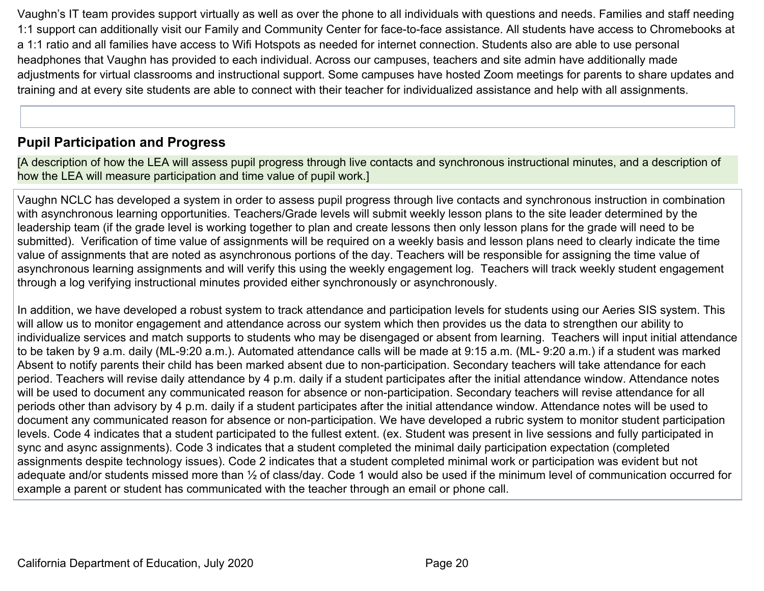Vaughn's IT team provides support virtually as well as over the phone to all individuals with questions and needs. Families and staff needing 1:1 support can additionally visit our Family and Community Center for face-to-face assistance. All students have access to Chromebooks at a 1:1 ratio and all families have access to Wifi Hotspots as needed for internet connection. Students also are able to use personal headphones that Vaughn has provided to each individual. Across our campuses, teachers and site admin have additionally made adjustments for virtual classrooms and instructional support. Some campuses have hosted Zoom meetings for parents to share updates and training and at every site students are able to connect with their teacher for individualized assistance and help with all assignments.

## <span id="page-19-0"></span>**Pupil Participation and Progress**

[A description of how the LEA will assess pupil progress through live contacts and synchronous instructional minutes, and a description of how the LEA will measure participation and time value of pupil work.]

Vaughn NCLC has developed a system in order to assess pupil progress through live contacts and synchronous instruction in combination with asynchronous learning opportunities. Teachers/Grade levels will submit weekly lesson plans to the site leader determined by the leadership team (if the grade level is working together to plan and create lessons then only lesson plans for the grade will need to be submitted). Verification of time value of assignments will be required on a weekly basis and lesson plans need to clearly indicate the time value of assignments that are noted as asynchronous portions of the day. Teachers will be responsible for assigning the time value of asynchronous learning assignments and will verify this using the weekly engagement log. Teachers will track weekly student engagement through a log verifying instructional minutes provided either synchronously or asynchronously.

In addition, we have developed a robust system to track attendance and participation levels for students using our Aeries SIS system. This will allow us to monitor engagement and attendance across our system which then provides us the data to strengthen our ability to individualize services and match supports to students who may be disengaged or absent from learning. Teachers will input initial attendance to be taken by 9 a.m. daily (ML-9:20 a.m.). Automated attendance calls will be made at 9:15 a.m. (ML- 9:20 a.m.) if a student was marked Absent to notify parents their child has been marked absent due to non-participation. Secondary teachers will take attendance for each period. Teachers will revise daily attendance by 4 p.m. daily if a student participates after the initial attendance window. Attendance notes will be used to document any communicated reason for absence or non-participation. Secondary teachers will revise attendance for all periods other than advisory by 4 p.m. daily if a student participates after the initial attendance window. Attendance notes will be used to document any communicated reason for absence or non-participation. We have developed a rubric system to monitor student participation levels. Code 4 indicates that a student participated to the fullest extent. (ex. Student was present in live sessions and fully participated in sync and async assignments). Code 3 indicates that a student completed the minimal daily participation expectation (completed assignments despite technology issues). Code 2 indicates that a student completed minimal work or participation was evident but not adequate and/or students missed more than ½ of class/day. Code 1 would also be used if the minimum level of communication occurred for example a parent or student has communicated with the teacher through an email or phone call.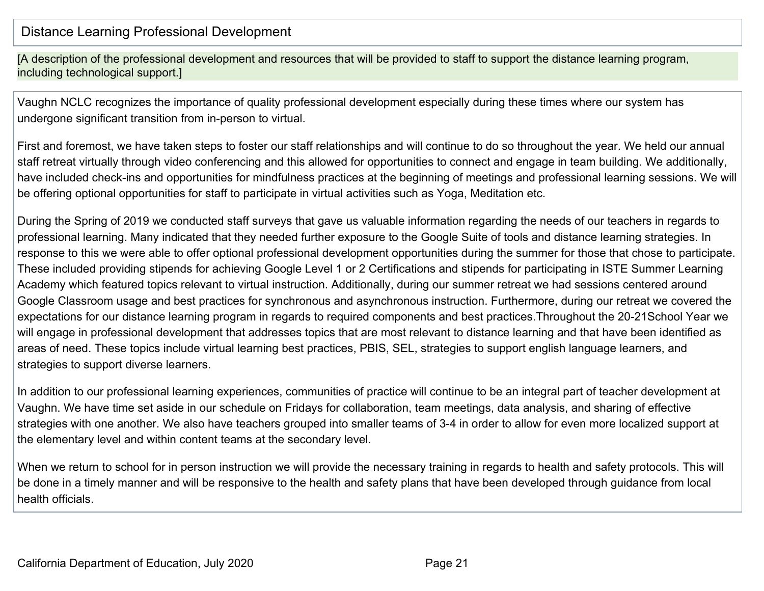#### Distance Learning Professional Development

[A description of the professional development and resources that will be provided to staff to support the distance learning program, including technological support.]

Vaughn NCLC recognizes the importance of quality professional development especially during these times where our system has undergone significant transition from in-person to virtual.

First and foremost, we have taken steps to foster our staff relationships and will continue to do so throughout the year. We held our annual staff retreat virtually through video conferencing and this allowed for opportunities to connect and engage in team building. We additionally, have included check-ins and opportunities for mindfulness practices at the beginning of meetings and professional learning sessions. We will be offering optional opportunities for staff to participate in virtual activities such as Yoga, Meditation etc.

During the Spring of 2019 we conducted staff surveys that gave us valuable information regarding the needs of our teachers in regards to professional learning. Many indicated that they needed further exposure to the Google Suite of tools and distance learning strategies. In response to this we were able to offer optional professional development opportunities during the summer for those that chose to participate. These included providing stipends for achieving Google Level 1 or 2 Certifications and stipends for participating in ISTE Summer Learning Academy which featured topics relevant to virtual instruction. Additionally, during our summer retreat we had sessions centered around Google Classroom usage and best practices for synchronous and asynchronous instruction. Furthermore, during our retreat we covered the expectations for our distance learning program in regards to required components and best practices.Throughout the 20-21School Year we will engage in professional development that addresses topics that are most relevant to distance learning and that have been identified as areas of need. These topics include virtual learning best practices, PBIS, SEL, strategies to support english language learners, and strategies to support diverse learners.

In addition to our professional learning experiences, communities of practice will continue to be an integral part of teacher development at Vaughn. We have time set aside in our schedule on Fridays for collaboration, team meetings, data analysis, and sharing of effective strategies with one another. We also have teachers grouped into smaller teams of 3-4 in order to allow for even more localized support at the elementary level and within content teams at the secondary level.

When we return to school for in person instruction we will provide the necessary training in regards to health and safety protocols. This will be done in a timely manner and will be responsive to the health and safety plans that have been developed through guidance from local health officials.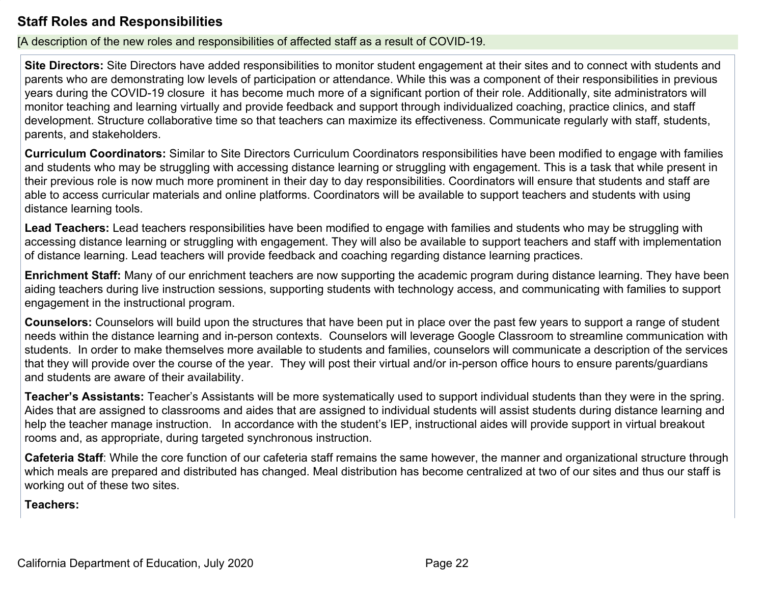## <span id="page-21-0"></span>**Staff Roles and Responsibilities**

[A description of the new roles and responsibilities of affected staff as a result of COVID-19.

**Site Directors:** Site Directors have added responsibilities to monitor student engagement at their sites and to connect with students and parents who are demonstrating low levels of participation or attendance. While this was a component of their responsibilities in previous years during the COVID-19 closure it has become much more of a significant portion of their role. Additionally, site administrators will monitor teaching and learning virtually and provide feedback and support through individualized coaching, practice clinics, and staff development. Structure collaborative time so that teachers can maximize its effectiveness. Communicate regularly with staff, students, parents, and stakeholders.

**Curriculum Coordinators:** Similar to Site Directors Curriculum Coordinators responsibilities have been modified to engage with families and students who may be struggling with accessing distance learning or struggling with engagement. This is a task that while present in their previous role is now much more prominent in their day to day responsibilities. Coordinators will ensure that students and staff are able to access curricular materials and online platforms. Coordinators will be available to support teachers and students with using distance learning tools.

**Lead Teachers:** Lead teachers responsibilities have been modified to engage with families and students who may be struggling with accessing distance learning or struggling with engagement. They will also be available to support teachers and staff with implementation of distance learning. Lead teachers will provide feedback and coaching regarding distance learning practices.

**Enrichment Staff:** Many of our enrichment teachers are now supporting the academic program during distance learning. They have been aiding teachers during live instruction sessions, supporting students with technology access, and communicating with families to support engagement in the instructional program.

**Counselors:** Counselors will build upon the structures that have been put in place over the past few years to support a range of student needs within the distance learning and in-person contexts. Counselors will leverage Google Classroom to streamline communication with students. In order to make themselves more available to students and families, counselors will communicate a description of the services that they will provide over the course of the year. They will post their virtual and/or in-person office hours to ensure parents/guardians and students are aware of their availability.

**Teacher's Assistants:** Teacher's Assistants will be more systematically used to support individual students than they were in the spring. Aides that are assigned to classrooms and aides that are assigned to individual students will assist students during distance learning and help the teacher manage instruction. In accordance with the student's IEP, instructional aides will provide support in virtual breakout rooms and, as appropriate, during targeted synchronous instruction.

**Cafeteria Staff**: While the core function of our cafeteria staff remains the same however, the manner and organizational structure through which meals are prepared and distributed has changed. Meal distribution has become centralized at two of our sites and thus our staff is working out of these two sites.

**Teachers:**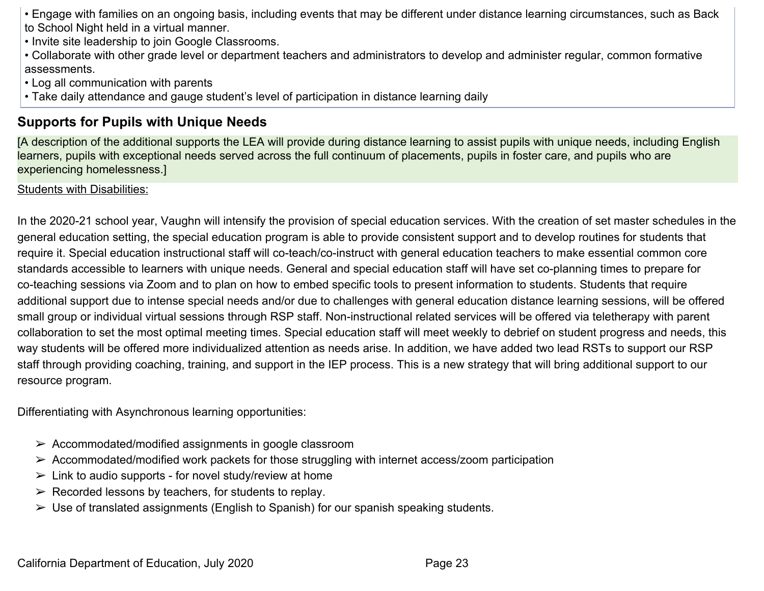• Engage with families on an ongoing basis, including events that may be different under distance learning circumstances, such as Back to School Night held in a virtual manner.

- Invite site leadership to join Google Classrooms.
- Collaborate with other grade level or department teachers and administrators to develop and administer regular, common formative assessments.
- Log all communication with parents
- Take daily attendance and gauge student's level of participation in distance learning daily

## <span id="page-22-0"></span>**Supports for Pupils with Unique Needs**

[A description of the additional supports the LEA will provide during distance learning to assist pupils with unique needs, including English learners, pupils with exceptional needs served across the full continuum of placements, pupils in foster care, and pupils who are experiencing homelessness.]

#### Students with Disabilities:

In the 2020-21 school year, Vaughn will intensify the provision of special education services. With the creation of set master schedules in the general education setting, the special education program is able to provide consistent support and to develop routines for students that require it. Special education instructional staff will co-teach/co-instruct with general education teachers to make essential common core standards accessible to learners with unique needs. General and special education staff will have set co-planning times to prepare for co-teaching sessions via Zoom and to plan on how to embed specific tools to present information to students. Students that require additional support due to intense special needs and/or due to challenges with general education distance learning sessions, will be offered small group or individual virtual sessions through RSP staff. Non-instructional related services will be offered via teletherapy with parent collaboration to set the most optimal meeting times. Special education staff will meet weekly to debrief on student progress and needs, this way students will be offered more individualized attention as needs arise. In addition, we have added two lead RSTs to support our RSP staff through providing coaching, training, and support in the IEP process. This is a new strategy that will bring additional support to our resource program.

Differentiating with Asynchronous learning opportunities:

- $\triangleright$  Accommodated/modified assignments in google classroom
- $\triangleright$  Accommodated/modified work packets for those struggling with internet access/zoom participation
- $\triangleright$  Link to audio supports for novel study/review at home
- $\triangleright$  Recorded lessons by teachers, for students to replay.
- $\triangleright$  Use of translated assignments (English to Spanish) for our spanish speaking students.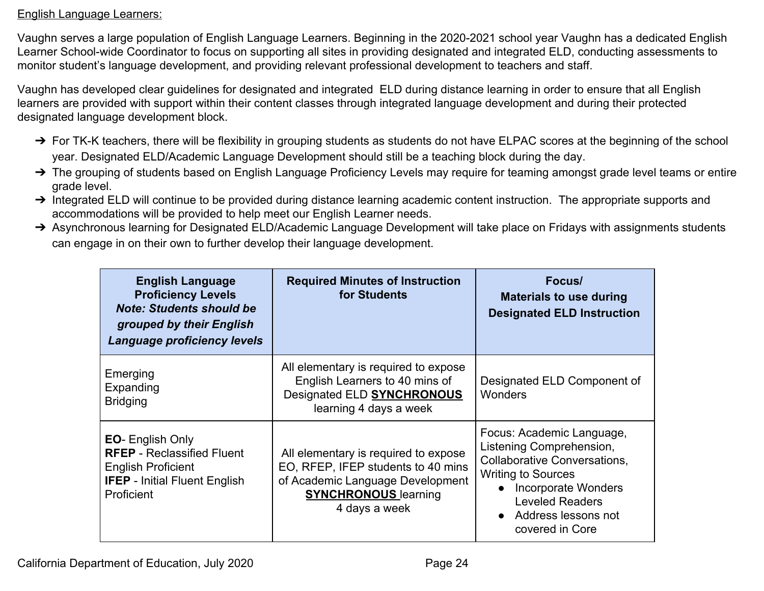#### English Language Learners:

Vaughn serves a large population of English Language Learners. Beginning in the 2020-2021 school year Vaughn has a dedicated English Learner School-wide Coordinator to focus on supporting all sites in providing designated and integrated ELD, conducting assessments to monitor student's language development, and providing relevant professional development to teachers and staff.

Vaughn has developed clear guidelines for designated and integrated ELD during distance learning in order to ensure that all English learners are provided with support within their content classes through integrated language development and during their protected designated language development block.

- → For TK-K teachers, there will be flexibility in grouping students as students do not have ELPAC scores at the beginning of the school year. Designated ELD/Academic Language Development should still be a teaching block during the day.
- → The grouping of students based on English Language Proficiency Levels may require for teaming amongst grade level teams or entire grade level.
- → Integrated ELD will continue to be provided during distance learning academic content instruction. The appropriate supports and accommodations will be provided to help meet our English Learner needs.
- → Asynchronous learning for Designated ELD/Academic Language Development will take place on Fridays with assignments students can engage in on their own to further develop their language development.

| <b>English Language</b><br><b>Proficiency Levels</b><br><b>Note: Students should be</b><br>grouped by their English<br>Language proficiency levels | <b>Required Minutes of Instruction</b><br>for Students                                                                                                         | Focus/<br><b>Materials to use during</b><br><b>Designated ELD Instruction</b>                                                                                                                                                            |
|----------------------------------------------------------------------------------------------------------------------------------------------------|----------------------------------------------------------------------------------------------------------------------------------------------------------------|------------------------------------------------------------------------------------------------------------------------------------------------------------------------------------------------------------------------------------------|
| Emerging<br>Expanding<br><b>Bridging</b>                                                                                                           | All elementary is required to expose<br>English Learners to 40 mins of<br>Designated ELD SYNCHRONOUS<br>learning 4 days a week                                 | Designated ELD Component of<br><b>Wonders</b>                                                                                                                                                                                            |
| <b>EO-</b> English Only<br><b>RFEP</b> - Reclassified Fluent<br><b>English Proficient</b><br><b>IFEP</b> - Initial Fluent English<br>Proficient    | All elementary is required to expose<br>EO, RFEP, IFEP students to 40 mins<br>of Academic Language Development<br><b>SYNCHRONOUS</b> learning<br>4 days a week | Focus: Academic Language,<br>Listening Comprehension,<br><b>Collaborative Conversations,</b><br><b>Writing to Sources</b><br><b>Incorporate Wonders</b><br>$\bullet$<br><b>Leveled Readers</b><br>Address lessons not<br>covered in Core |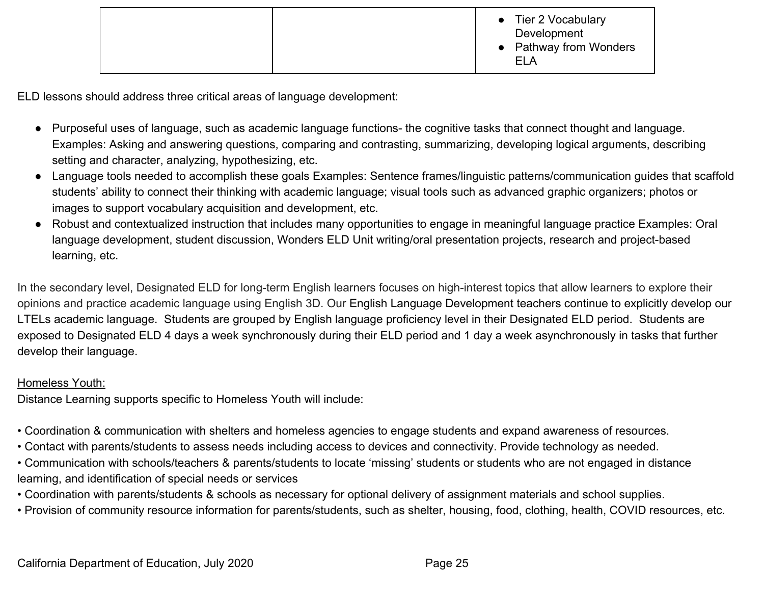|  |  | • Tier 2 Vocabulary<br>Development<br>• Pathway from Wonders<br><b>ELA</b> |
|--|--|----------------------------------------------------------------------------|
|--|--|----------------------------------------------------------------------------|

ELD lessons should address three critical areas of language development:

- Purposeful uses of language, such as academic language functions- the cognitive tasks that connect thought and language. Examples: Asking and answering questions, comparing and contrasting, summarizing, developing logical arguments, describing setting and character, analyzing, hypothesizing, etc.
- Language tools needed to accomplish these goals Examples: Sentence frames/linguistic patterns/communication guides that scaffold students' ability to connect their thinking with academic language; visual tools such as advanced graphic organizers; photos or images to support vocabulary acquisition and development, etc.
- Robust and contextualized instruction that includes many opportunities to engage in meaningful language practice Examples: Oral language development, student discussion, Wonders ELD Unit writing/oral presentation projects, research and project-based learning, etc.

In the secondary level, Designated ELD for long-term English learners focuses on high-interest topics that allow learners to explore their opinions and practice academic language using English 3D. Our English Language Development teachers continue to explicitly develop our LTELs academic language. Students are grouped by English language proficiency level in their Designated ELD period. Students are exposed to Designated ELD 4 days a week synchronously during their ELD period and 1 day a week asynchronously in tasks that further develop their language.

#### Homeless Youth:

Distance Learning supports specific to Homeless Youth will include:

- Coordination & communication with shelters and homeless agencies to engage students and expand awareness of resources.
- Contact with parents/students to assess needs including access to devices and connectivity. Provide technology as needed.
- Communication with schools/teachers & parents/students to locate 'missing' students or students who are not engaged in distance learning, and identification of special needs or services
- Coordination with parents/students & schools as necessary for optional delivery of assignment materials and school supplies.
- Provision of community resource information for parents/students, such as shelter, housing, food, clothing, health, COVID resources, etc.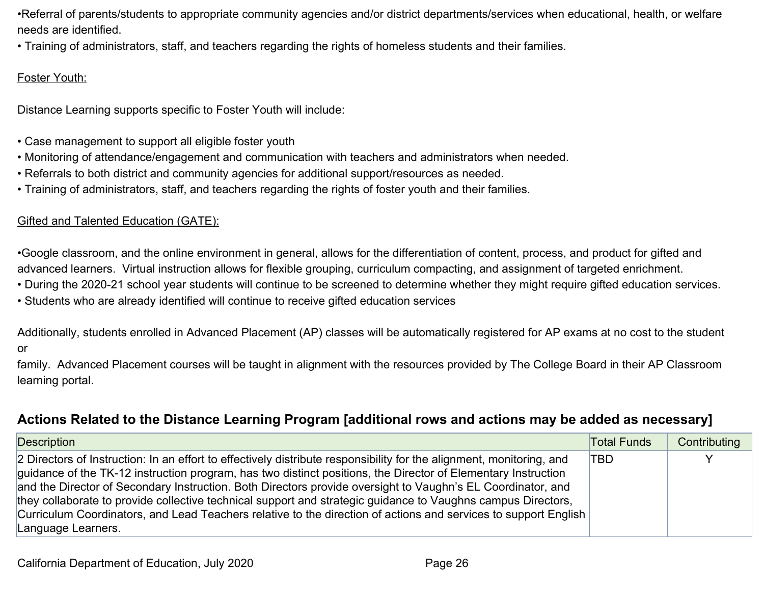•Referral of parents/students to appropriate community agencies and/or district departments/services when educational, health, or welfare needs are identified.

• Training of administrators, staff, and teachers regarding the rights of homeless students and their families.

#### Foster Youth:

Distance Learning supports specific to Foster Youth will include:

- Case management to support all eligible foster youth
- Monitoring of attendance/engagement and communication with teachers and administrators when needed.
- Referrals to both district and community agencies for additional support/resources as needed.
- Training of administrators, staff, and teachers regarding the rights of foster youth and their families.

#### Gifted and Talented Education (GATE):

•Google classroom, and the online environment in general, allows for the differentiation of content, process, and product for gifted and advanced learners. Virtual instruction allows for flexible grouping, curriculum compacting, and assignment of targeted enrichment.

- During the 2020-21 school year students will continue to be screened to determine whether they might require gifted education services.
- Students who are already identified will continue to receive gifted education services

Additionally, students enrolled in Advanced Placement (AP) classes will be automatically registered for AP exams at no cost to the student or

family. Advanced Placement courses will be taught in alignment with the resources provided by The College Board in their AP Classroom learning portal.

## <span id="page-25-0"></span>**Actions Related to the Distance Learning Program [additional rows and actions may be added as necessary]**

| Description                                                                                                          | <b>Total Funds</b> | Contributing |
|----------------------------------------------------------------------------------------------------------------------|--------------------|--------------|
| 2 Directors of Instruction: In an effort to effectively distribute responsibility for the alignment, monitoring, and | TBD                |              |
| guidance of the TK-12 instruction program, has two distinct positions, the Director of Elementary Instruction        |                    |              |
| and the Director of Secondary Instruction. Both Directors provide oversight to Vaughn's EL Coordinator, and          |                    |              |
| they collaborate to provide collective technical support and strategic guidance to Vaughns campus Directors,         |                    |              |
| Curriculum Coordinators, and Lead Teachers relative to the direction of actions and services to support English      |                    |              |
| Language Learners.                                                                                                   |                    |              |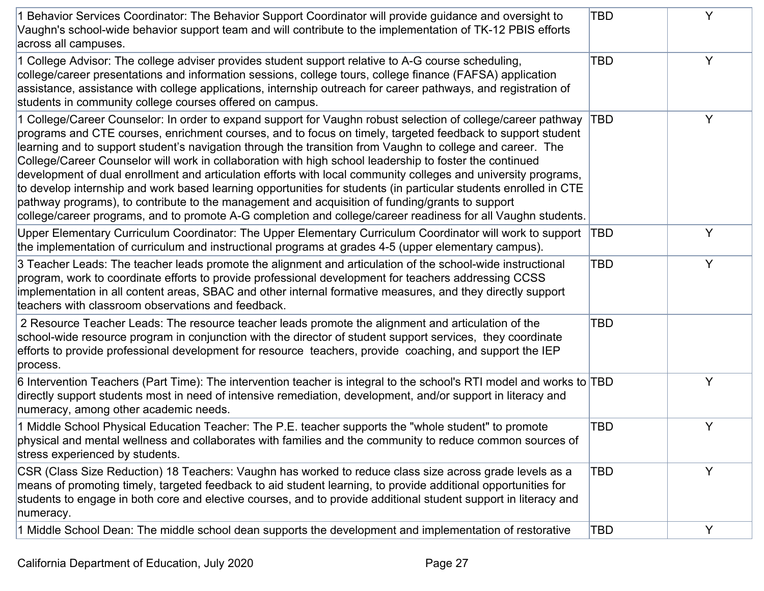| 1 Behavior Services Coordinator: The Behavior Support Coordinator will provide guidance and oversight to<br>Vaughn's school-wide behavior support team and will contribute to the implementation of TK-12 PBIS efforts<br>across all campuses.                                                                                                                                                                                                                                                                                                                                                                                                                                                                                                                                                                                                                                                             | <b>TBD</b> | Y |
|------------------------------------------------------------------------------------------------------------------------------------------------------------------------------------------------------------------------------------------------------------------------------------------------------------------------------------------------------------------------------------------------------------------------------------------------------------------------------------------------------------------------------------------------------------------------------------------------------------------------------------------------------------------------------------------------------------------------------------------------------------------------------------------------------------------------------------------------------------------------------------------------------------|------------|---|
| 1 College Advisor: The college adviser provides student support relative to A-G course scheduling,<br>college/career presentations and information sessions, college tours, college finance (FAFSA) application<br>assistance, assistance with college applications, internship outreach for career pathways, and registration of<br>students in community college courses offered on campus.                                                                                                                                                                                                                                                                                                                                                                                                                                                                                                              | <b>TBD</b> | Y |
| College/Career Counselor: In order to expand support for Vaughn robust selection of college/career pathway<br>programs and CTE courses, enrichment courses, and to focus on timely, targeted feedback to support student<br>learning and to support student's navigation through the transition from Vaughn to college and career. The<br>College/Career Counselor will work in collaboration with high school leadership to foster the continued<br>development of dual enrollment and articulation efforts with local community colleges and university programs,<br>to develop internship and work based learning opportunities for students (in particular students enrolled in CTE<br>pathway programs), to contribute to the management and acquisition of funding/grants to support<br>college/career programs, and to promote A-G completion and college/career readiness for all Vaughn students. | TBD        | Y |
| Upper Elementary Curriculum Coordinator: The Upper Elementary Curriculum Coordinator will work to support TBD<br>the implementation of curriculum and instructional programs at grades 4-5 (upper elementary campus).                                                                                                                                                                                                                                                                                                                                                                                                                                                                                                                                                                                                                                                                                      |            | Y |
| 3 Teacher Leads: The teacher leads promote the alignment and articulation of the school-wide instructional<br>program, work to coordinate efforts to provide professional development for teachers addressing CCSS<br>implementation in all content areas, SBAC and other internal formative measures, and they directly support<br>teachers with classroom observations and feedback.                                                                                                                                                                                                                                                                                                                                                                                                                                                                                                                     | <b>TBD</b> | Y |
| 2 Resource Teacher Leads: The resource teacher leads promote the alignment and articulation of the<br>school-wide resource program in conjunction with the director of student support services, they coordinate<br>efforts to provide professional development for resource teachers, provide coaching, and support the IEP<br>process.                                                                                                                                                                                                                                                                                                                                                                                                                                                                                                                                                                   | <b>TBD</b> |   |
| 6 Intervention Teachers (Part Time): The intervention teacher is integral to the school's RTI model and works to TBD<br>directly support students most in need of intensive remediation, development, and/or support in literacy and<br>numeracy, among other academic needs.                                                                                                                                                                                                                                                                                                                                                                                                                                                                                                                                                                                                                              |            | Y |
| 1 Middle School Physical Education Teacher: The P.E. teacher supports the "whole student" to promote<br>physical and mental wellness and collaborates with families and the community to reduce common sources of<br>stress experienced by students.                                                                                                                                                                                                                                                                                                                                                                                                                                                                                                                                                                                                                                                       | <b>TBD</b> | Y |
| CSR (Class Size Reduction) 18 Teachers: Vaughn has worked to reduce class size across grade levels as a<br>means of promoting timely, targeted feedback to aid student learning, to provide additional opportunities for<br>students to engage in both core and elective courses, and to provide additional student support in literacy and<br>numeracy.                                                                                                                                                                                                                                                                                                                                                                                                                                                                                                                                                   | TBD        | Y |
| 1 Middle School Dean: The middle school dean supports the development and implementation of restorative                                                                                                                                                                                                                                                                                                                                                                                                                                                                                                                                                                                                                                                                                                                                                                                                    | <b>TBD</b> | Y |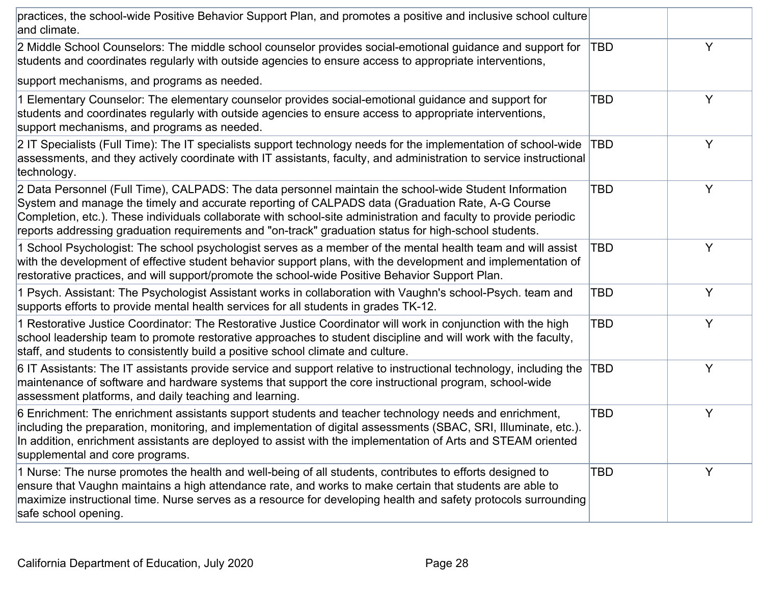| practices, the school-wide Positive Behavior Support Plan, and promotes a positive and inclusive school culture<br>and climate.                                                                                                                                                                                                                                                                                                         |     |   |
|-----------------------------------------------------------------------------------------------------------------------------------------------------------------------------------------------------------------------------------------------------------------------------------------------------------------------------------------------------------------------------------------------------------------------------------------|-----|---|
| 2 Middle School Counselors: The middle school counselor provides social-emotional guidance and support for<br>students and coordinates regularly with outside agencies to ensure access to appropriate interventions,                                                                                                                                                                                                                   | TBD | Y |
| support mechanisms, and programs as needed.                                                                                                                                                                                                                                                                                                                                                                                             |     |   |
| 1 Elementary Counselor: The elementary counselor provides social-emotional guidance and support for<br>students and coordinates regularly with outside agencies to ensure access to appropriate interventions,<br>support mechanisms, and programs as needed.                                                                                                                                                                           | TBD | Y |
| 2 IT Specialists (Full Time): The IT specialists support technology needs for the implementation of school-wide<br>assessments, and they actively coordinate with IT assistants, faculty, and administration to service instructional<br>technology.                                                                                                                                                                                    | TBD | Y |
| 2 Data Personnel (Full Time), CALPADS: The data personnel maintain the school-wide Student Information<br>System and manage the timely and accurate reporting of CALPADS data (Graduation Rate, A-G Course<br>Completion, etc.). These individuals collaborate with school-site administration and faculty to provide periodic<br>reports addressing graduation requirements and "on-track" graduation status for high-school students. | TBD | Y |
| 1 School Psychologist: The school psychologist serves as a member of the mental health team and will assist<br>with the development of effective student behavior support plans, with the development and implementation of<br>restorative practices, and will support/promote the school-wide Positive Behavior Support Plan.                                                                                                          | TBD | Y |
| 1 Psych. Assistant: The Psychologist Assistant works in collaboration with Vaughn's school-Psych. team and<br>supports efforts to provide mental health services for all students in grades TK-12.                                                                                                                                                                                                                                      | TBD | Y |
| 1 Restorative Justice Coordinator: The Restorative Justice Coordinator will work in conjunction with the high<br>school leadership team to promote restorative approaches to student discipline and will work with the faculty,<br>staff, and students to consistently build a positive school climate and culture.                                                                                                                     | TBD | Y |
| 6 IT Assistants: The IT assistants provide service and support relative to instructional technology, including the<br>maintenance of software and hardware systems that support the core instructional program, school-wide<br>assessment platforms, and daily teaching and learning.                                                                                                                                                   | TBD | Y |
| 6 Enrichment: The enrichment assistants support students and teacher technology needs and enrichment,<br>including the preparation, monitoring, and implementation of digital assessments (SBAC, SRI, Illuminate, etc.).<br>In addition, enrichment assistants are deployed to assist with the implementation of Arts and STEAM oriented<br>supplemental and core programs.                                                             | TBD | Y |
| 1 Nurse: The nurse promotes the health and well-being of all students, contributes to efforts designed to<br>ensure that Vaughn maintains a high attendance rate, and works to make certain that students are able to<br>maximize instructional time. Nurse serves as a resource for developing health and safety protocols surrounding<br>safe school opening.                                                                         | TBD | Y |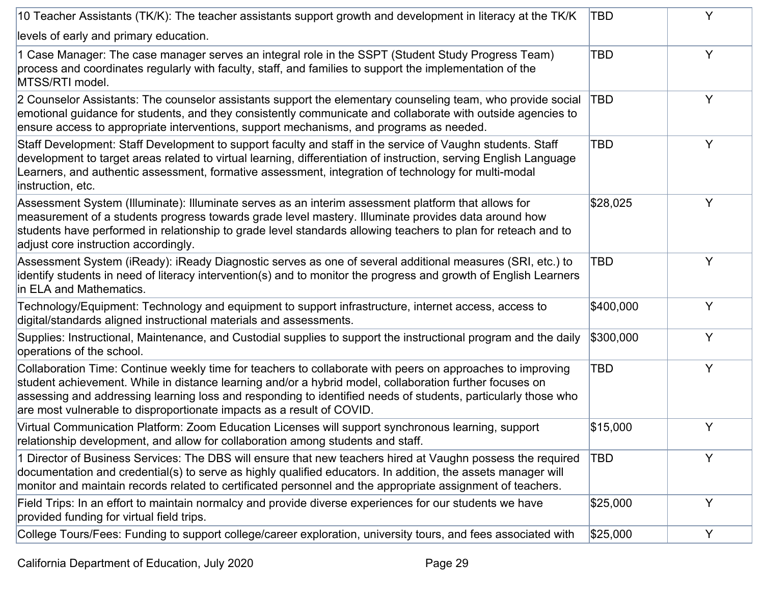| 10 Teacher Assistants (TK/K): The teacher assistants support growth and development in literacy at the TK/K                                                                                                                                                                                                                                                                                                     | TBD        | Y |
|-----------------------------------------------------------------------------------------------------------------------------------------------------------------------------------------------------------------------------------------------------------------------------------------------------------------------------------------------------------------------------------------------------------------|------------|---|
| levels of early and primary education.                                                                                                                                                                                                                                                                                                                                                                          |            |   |
| 1 Case Manager: The case manager serves an integral role in the SSPT (Student Study Progress Team)<br>process and coordinates regularly with faculty, staff, and families to support the implementation of the<br>MTSS/RTI model.                                                                                                                                                                               | <b>TBD</b> | Y |
| 2 Counselor Assistants: The counselor assistants support the elementary counseling team, who provide social<br>emotional guidance for students, and they consistently communicate and collaborate with outside agencies to<br>ensure access to appropriate interventions, support mechanisms, and programs as needed.                                                                                           | TBD        | Y |
| Staff Development: Staff Development to support faculty and staff in the service of Vaughn students. Staff<br>development to target areas related to virtual learning, differentiation of instruction, serving English Language<br>Learners, and authentic assessment, formative assessment, integration of technology for multi-modal<br>instruction, etc.                                                     | TBD        | Y |
| Assessment System (Illuminate): Illuminate serves as an interim assessment platform that allows for<br>measurement of a students progress towards grade level mastery. Illuminate provides data around how<br>students have performed in relationship to grade level standards allowing teachers to plan for reteach and to<br>adjust core instruction accordingly.                                             | \$28,025   | Y |
| Assessment System (iReady): iReady Diagnostic serves as one of several additional measures (SRI, etc.) to<br>identify students in need of literacy intervention(s) and to monitor the progress and growth of English Learners<br>in ELA and Mathematics.                                                                                                                                                        | TBD        | Y |
| Technology/Equipment: Technology and equipment to support infrastructure, internet access, access to<br>digital/standards aligned instructional materials and assessments.                                                                                                                                                                                                                                      | \$400,000  | Y |
| Supplies: Instructional, Maintenance, and Custodial supplies to support the instructional program and the daily<br>operations of the school.                                                                                                                                                                                                                                                                    | \$300,000  | Y |
| Collaboration Time: Continue weekly time for teachers to collaborate with peers on approaches to improving<br>student achievement. While in distance learning and/or a hybrid model, collaboration further focuses on<br>assessing and addressing learning loss and responding to identified needs of students, particularly those who<br>are most vulnerable to disproportionate impacts as a result of COVID. | <b>TBD</b> | Y |
| Virtual Communication Platform: Zoom Education Licenses will support synchronous learning, support<br>relationship development, and allow for collaboration among students and staff.                                                                                                                                                                                                                           | \$15,000   | Υ |
| 1 Director of Business Services: The DBS will ensure that new teachers hired at Vaughn possess the required<br>documentation and credential(s) to serve as highly qualified educators. In addition, the assets manager will<br>monitor and maintain records related to certificated personnel and the appropriate assignment of teachers.                                                                       | <b>TBD</b> | Y |
| Field Trips: In an effort to maintain normalcy and provide diverse experiences for our students we have<br>provided funding for virtual field trips.                                                                                                                                                                                                                                                            | \$25,000   | Y |
| College Tours/Fees: Funding to support college/career exploration, university tours, and fees associated with                                                                                                                                                                                                                                                                                                   | \$25,000   | Y |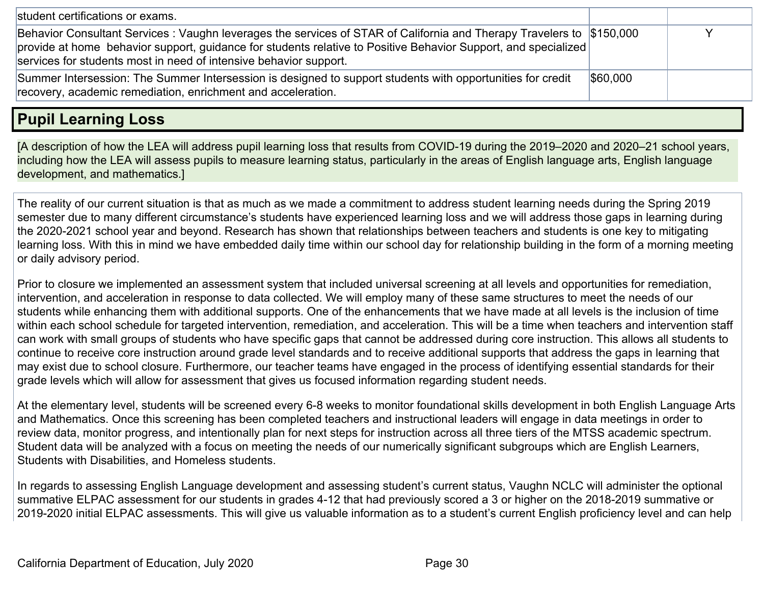| student certifications or exams.                                                                                                                                                                                                                                                                            |          |  |
|-------------------------------------------------------------------------------------------------------------------------------------------------------------------------------------------------------------------------------------------------------------------------------------------------------------|----------|--|
| Behavior Consultant Services: Vaughn leverages the services of STAR of California and Therapy Travelers to \$150,000<br>provide at home behavior support, guidance for students relative to Positive Behavior Support, and specialized<br>services for students most in need of intensive behavior support. |          |  |
| Summer Intersession: The Summer Intersession is designed to support students with opportunities for credit<br>recovery, academic remediation, enrichment and acceleration.                                                                                                                                  | \$60,000 |  |

# <span id="page-29-0"></span>**Pupil Learning Loss**

[A description of how the LEA will address pupil learning loss that results from COVID-19 during the 2019–2020 and 2020–21 school years, including how the LEA will assess pupils to measure learning status, particularly in the areas of English language arts, English language development, and mathematics.]

The reality of our current situation is that as much as we made a commitment to address student learning needs during the Spring 2019 semester due to many different circumstance's students have experienced learning loss and we will address those gaps in learning during the 2020-2021 school year and beyond. Research has shown that relationships between teachers and students is one key to mitigating learning loss. With this in mind we have embedded daily time within our school day for relationship building in the form of a morning meeting or daily advisory period.

Prior to closure we implemented an assessment system that included universal screening at all levels and opportunities for remediation, intervention, and acceleration in response to data collected. We will employ many of these same structures to meet the needs of our students while enhancing them with additional supports. One of the enhancements that we have made at all levels is the inclusion of time within each school schedule for targeted intervention, remediation, and acceleration. This will be a time when teachers and intervention staff can work with small groups of students who have specific gaps that cannot be addressed during core instruction. This allows all students to continue to receive core instruction around grade level standards and to receive additional supports that address the gaps in learning that may exist due to school closure. Furthermore, our teacher teams have engaged in the process of identifying essential standards for their grade levels which will allow for assessment that gives us focused information regarding student needs.

At the elementary level, students will be screened every 6-8 weeks to monitor foundational skills development in both English Language Arts and Mathematics. Once this screening has been completed teachers and instructional leaders will engage in data meetings in order to review data, monitor progress, and intentionally plan for next steps for instruction across all three tiers of the MTSS academic spectrum. Student data will be analyzed with a focus on meeting the needs of our numerically significant subgroups which are English Learners, Students with Disabilities, and Homeless students.

In regards to assessing English Language development and assessing student's current status, Vaughn NCLC will administer the optional summative ELPAC assessment for our students in grades 4-12 that had previously scored a 3 or higher on the 2018-2019 summative or 2019-2020 initial ELPAC assessments. This will give us valuable information as to a student's current English proficiency level and can help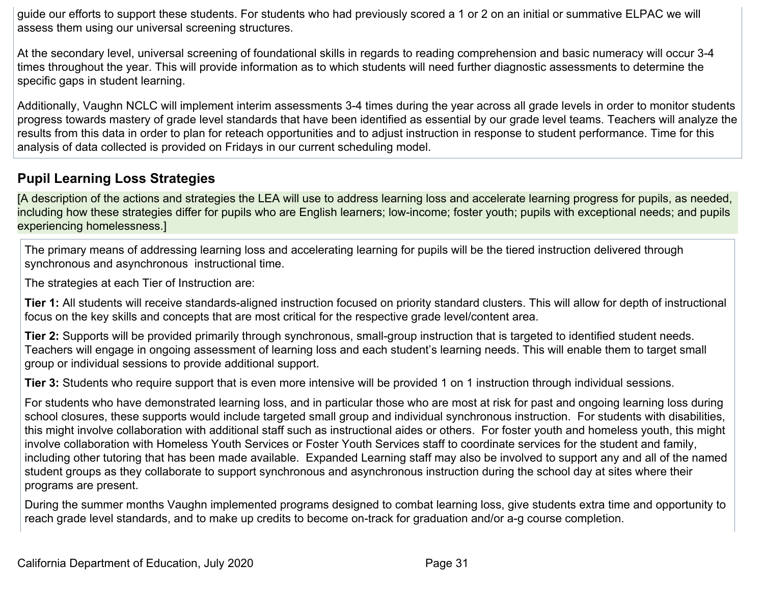guide our efforts to support these students. For students who had previously scored a 1 or 2 on an initial or summative ELPAC we will assess them using our universal screening structures.

At the secondary level, universal screening of foundational skills in regards to reading comprehension and basic numeracy will occur 3-4 times throughout the year. This will provide information as to which students will need further diagnostic assessments to determine the specific gaps in student learning.

Additionally, Vaughn NCLC will implement interim assessments 3-4 times during the year across all grade levels in order to monitor students progress towards mastery of grade level standards that have been identified as essential by our grade level teams. Teachers will analyze the results from this data in order to plan for reteach opportunities and to adjust instruction in response to student performance. Time for this analysis of data collected is provided on Fridays in our current scheduling model.

## <span id="page-30-0"></span>**Pupil Learning Loss Strategies**

[A description of the actions and strategies the LEA will use to address learning loss and accelerate learning progress for pupils, as needed, including how these strategies differ for pupils who are English learners; low-income; foster youth; pupils with exceptional needs; and pupils experiencing homelessness.]

The primary means of addressing learning loss and accelerating learning for pupils will be the tiered instruction delivered through synchronous and asynchronous instructional time.

The strategies at each Tier of Instruction are:

**Tier 1:** All students will receive standards-aligned instruction focused on priority standard clusters. This will allow for depth of instructional focus on the key skills and concepts that are most critical for the respective grade level/content area.

**Tier 2:** Supports will be provided primarily through synchronous, small-group instruction that is targeted to identified student needs. Teachers will engage in ongoing assessment of learning loss and each student's learning needs. This will enable them to target small group or individual sessions to provide additional support.

**Tier 3:** Students who require support that is even more intensive will be provided 1 on 1 instruction through individual sessions.

For students who have demonstrated learning loss, and in particular those who are most at risk for past and ongoing learning loss during school closures, these supports would include targeted small group and individual synchronous instruction. For students with disabilities, this might involve collaboration with additional staff such as instructional aides or others. For foster youth and homeless youth, this might involve collaboration with Homeless Youth Services or Foster Youth Services staff to coordinate services for the student and family, including other tutoring that has been made available. Expanded Learning staff may also be involved to support any and all of the named student groups as they collaborate to support synchronous and asynchronous instruction during the school day at sites where their programs are present.

During the summer months Vaughn implemented programs designed to combat learning loss, give students extra time and opportunity to reach grade level standards, and to make up credits to become on-track for graduation and/or a-g course completion.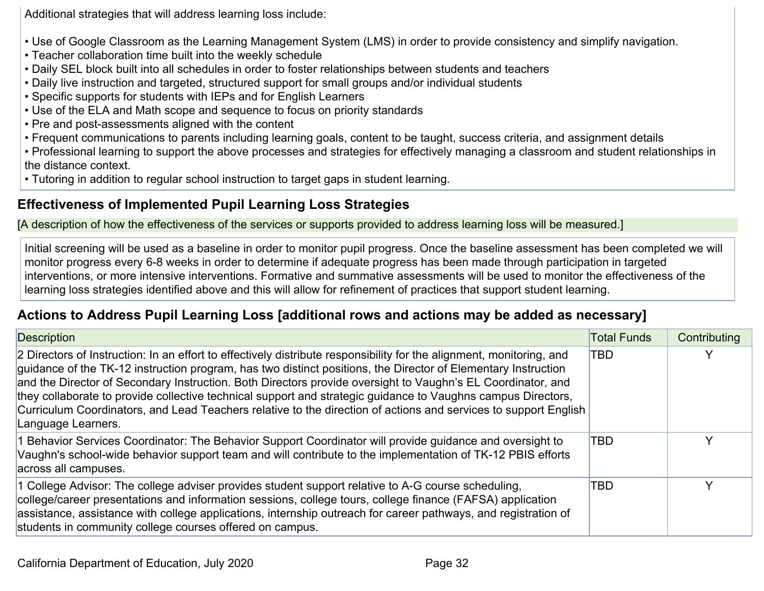Additional strategies that will address learning loss include:

- Use of Google Classroom as the Learning Management System (LMS) in order to provide consistency and simplify navigation.
- Teacher collaboration time built into the weekly schedule
- Daily SEL block built into all schedules in order to foster relationships between students and teachers
- Daily live instruction and targeted, structured support for small groups and/or individual students
- Specific supports for students with IEPs and for English Learners
- Use of the ELA and Math scope and sequence to focus on priority standards
- Pre and post-assessments aligned with the content
- Frequent communications to parents including learning goals, content to be taught, success criteria, and assignment details
- Professional learning to support the above processes and strategies for effectively managing a classroom and student relationships in the distance context.
- Tutoring in addition to regular school instruction to target gaps in student learning.

## <span id="page-31-0"></span>**Effectiveness of Implemented Pupil Learning Loss Strategies**

[A description of how the effectiveness of the services or supports provided to address learning loss will be measured.]

Initial screening will be used as a baseline in order to monitor pupil progress. Once the baseline assessment has been completed we will monitor progress every 6-8 weeks in order to determine if adequate progress has been made through participation in targeted interventions, or more intensive interventions. Formative and summative assessments will be used to monitor the effectiveness of the learning loss strategies identified above and this will allow for refinement of practices that support student learning.

## <span id="page-31-1"></span>**Actions to Address Pupil Learning Loss [additional rows and actions may be added as necessary]**

| <b>Description</b>                                                                                                                                                                                                                                                                                                                                                                                                                                                                                                                                                                                            | <b>Total Funds</b> | Contributing |
|---------------------------------------------------------------------------------------------------------------------------------------------------------------------------------------------------------------------------------------------------------------------------------------------------------------------------------------------------------------------------------------------------------------------------------------------------------------------------------------------------------------------------------------------------------------------------------------------------------------|--------------------|--------------|
| 2 Directors of Instruction: In an effort to effectively distribute responsibility for the alignment, monitoring, and<br>guidance of the TK-12 instruction program, has two distinct positions, the Director of Elementary Instruction<br>and the Director of Secondary Instruction. Both Directors provide oversight to Vaughn's EL Coordinator, and<br>they collaborate to provide collective technical support and strategic guidance to Vaughns campus Directors,<br>Curriculum Coordinators, and Lead Teachers relative to the direction of actions and services to support English<br>Language Learners. | <b>TBD</b>         |              |
| 1 Behavior Services Coordinator: The Behavior Support Coordinator will provide guidance and oversight to<br>Vaughn's school-wide behavior support team and will contribute to the implementation of TK-12 PBIS efforts<br>across all campuses.                                                                                                                                                                                                                                                                                                                                                                | <b>TBD</b>         | ∨            |
| 1 College Advisor: The college adviser provides student support relative to A-G course scheduling,<br>college/career presentations and information sessions, college tours, college finance (FAFSA) application<br>assistance, assistance with college applications, internship outreach for career pathways, and registration of<br>students in community college courses offered on campus.                                                                                                                                                                                                                 | TBD                | $\checkmark$ |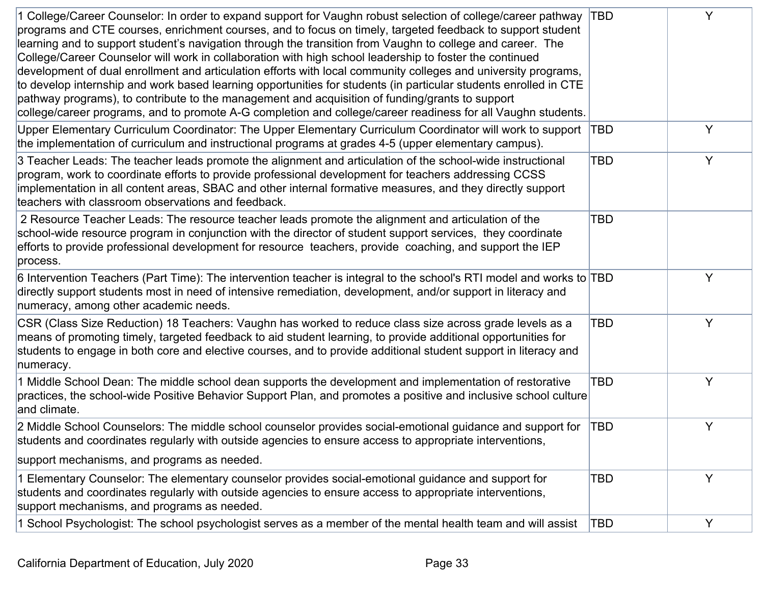| 1 College/Career Counselor: In order to expand support for Vaughn robust selection of college/career pathway<br>programs and CTE courses, enrichment courses, and to focus on timely, targeted feedback to support student<br>learning and to support student's navigation through the transition from Vaughn to college and career. The<br>College/Career Counselor will work in collaboration with high school leadership to foster the continued<br>development of dual enrollment and articulation efforts with local community colleges and university programs,<br>to develop internship and work based learning opportunities for students (in particular students enrolled in CTE<br>pathway programs), to contribute to the management and acquisition of funding/grants to support<br>college/career programs, and to promote A-G completion and college/career readiness for all Vaughn students. | <b>TBD</b> | Y |
|--------------------------------------------------------------------------------------------------------------------------------------------------------------------------------------------------------------------------------------------------------------------------------------------------------------------------------------------------------------------------------------------------------------------------------------------------------------------------------------------------------------------------------------------------------------------------------------------------------------------------------------------------------------------------------------------------------------------------------------------------------------------------------------------------------------------------------------------------------------------------------------------------------------|------------|---|
| Upper Elementary Curriculum Coordinator: The Upper Elementary Curriculum Coordinator will work to support TBD<br>the implementation of curriculum and instructional programs at grades 4-5 (upper elementary campus).                                                                                                                                                                                                                                                                                                                                                                                                                                                                                                                                                                                                                                                                                        |            | Y |
| 3 Teacher Leads: The teacher leads promote the alignment and articulation of the school-wide instructional<br>program, work to coordinate efforts to provide professional development for teachers addressing CCSS<br>implementation in all content areas, SBAC and other internal formative measures, and they directly support<br>teachers with classroom observations and feedback.                                                                                                                                                                                                                                                                                                                                                                                                                                                                                                                       | TBD        | Y |
| 2 Resource Teacher Leads: The resource teacher leads promote the alignment and articulation of the<br>school-wide resource program in conjunction with the director of student support services, they coordinate<br>efforts to provide professional development for resource teachers, provide coaching, and support the IEP<br>process.                                                                                                                                                                                                                                                                                                                                                                                                                                                                                                                                                                     | TBD        |   |
| 6 Intervention Teachers (Part Time): The intervention teacher is integral to the school's RTI model and works to TBD<br>directly support students most in need of intensive remediation, development, and/or support in literacy and<br>numeracy, among other academic needs.                                                                                                                                                                                                                                                                                                                                                                                                                                                                                                                                                                                                                                |            | Y |
| CSR (Class Size Reduction) 18 Teachers: Vaughn has worked to reduce class size across grade levels as a<br>means of promoting timely, targeted feedback to aid student learning, to provide additional opportunities for<br>students to engage in both core and elective courses, and to provide additional student support in literacy and<br>numeracy.                                                                                                                                                                                                                                                                                                                                                                                                                                                                                                                                                     | TBD        | Y |
| 1 Middle School Dean: The middle school dean supports the development and implementation of restorative<br>practices, the school-wide Positive Behavior Support Plan, and promotes a positive and inclusive school culture<br>and climate.                                                                                                                                                                                                                                                                                                                                                                                                                                                                                                                                                                                                                                                                   | TBD        | Y |
| 2 Middle School Counselors: The middle school counselor provides social-emotional guidance and support for<br>students and coordinates regularly with outside agencies to ensure access to appropriate interventions,                                                                                                                                                                                                                                                                                                                                                                                                                                                                                                                                                                                                                                                                                        | TBD        | Y |
| support mechanisms, and programs as needed.                                                                                                                                                                                                                                                                                                                                                                                                                                                                                                                                                                                                                                                                                                                                                                                                                                                                  |            |   |
| 1 Elementary Counselor: The elementary counselor provides social-emotional guidance and support for<br>students and coordinates regularly with outside agencies to ensure access to appropriate interventions,<br>support mechanisms, and programs as needed.                                                                                                                                                                                                                                                                                                                                                                                                                                                                                                                                                                                                                                                | TBD        | Y |
| 1 School Psychologist. The school psychologist serves as a member of the mental health team and will assist                                                                                                                                                                                                                                                                                                                                                                                                                                                                                                                                                                                                                                                                                                                                                                                                  | TBD        | Y |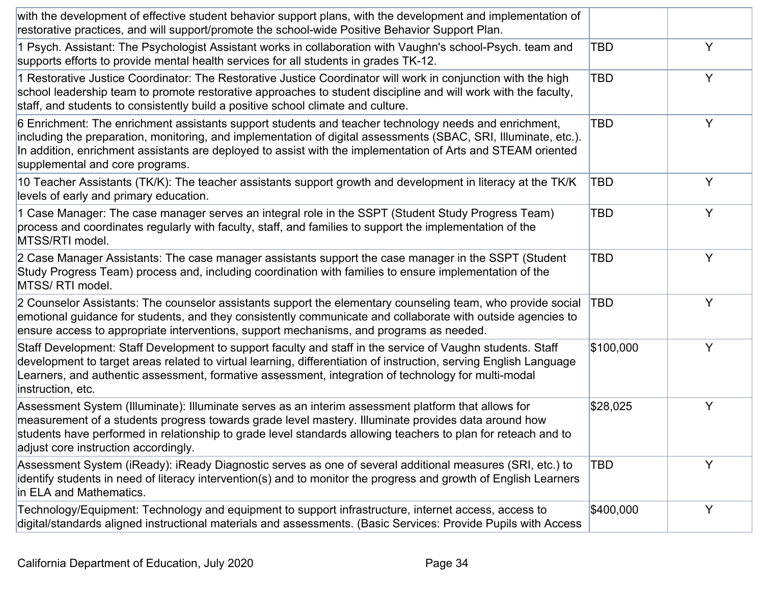| with the development of effective student behavior support plans, with the development and implementation of<br>restorative practices, and will support/promote the school-wide Positive Behavior Support Plan.                                                                                                                                                             |            |   |
|-----------------------------------------------------------------------------------------------------------------------------------------------------------------------------------------------------------------------------------------------------------------------------------------------------------------------------------------------------------------------------|------------|---|
| 1 Psych. Assistant: The Psychologist Assistant works in collaboration with Vaughn's school-Psych. team and<br>supports efforts to provide mental health services for all students in grades TK-12.                                                                                                                                                                          | TBD        | Y |
| 1 Restorative Justice Coordinator: The Restorative Justice Coordinator will work in conjunction with the high<br>school leadership team to promote restorative approaches to student discipline and will work with the faculty,<br>staff, and students to consistently build a positive school climate and culture.                                                         | <b>TBD</b> | Y |
| 6 Enrichment: The enrichment assistants support students and teacher technology needs and enrichment,<br>including the preparation, monitoring, and implementation of digital assessments (SBAC, SRI, Illuminate, etc.).<br>In addition, enrichment assistants are deployed to assist with the implementation of Arts and STEAM oriented<br>supplemental and core programs. | <b>TBD</b> | Y |
| 10 Teacher Assistants (TK/K): The teacher assistants support growth and development in literacy at the TK/K<br>levels of early and primary education.                                                                                                                                                                                                                       | TBD        | Y |
| 1 Case Manager: The case manager serves an integral role in the SSPT (Student Study Progress Team)<br>process and coordinates regularly with faculty, staff, and families to support the implementation of the<br>MTSS/RTI model.                                                                                                                                           | <b>TBD</b> | Y |
| 2 Case Manager Assistants: The case manager assistants support the case manager in the SSPT (Student<br>Study Progress Team) process and, including coordination with families to ensure implementation of the<br>MTSS/RTI model.                                                                                                                                           | TBD        | Y |
| 2 Counselor Assistants: The counselor assistants support the elementary counseling team, who provide social<br>emotional guidance for students, and they consistently communicate and collaborate with outside agencies to<br>ensure access to appropriate interventions, support mechanisms, and programs as needed.                                                       | TBD        | Y |
| Staff Development: Staff Development to support faculty and staff in the service of Vaughn students. Staff<br>development to target areas related to virtual learning, differentiation of instruction, serving English Language<br>Learners, and authentic assessment, formative assessment, integration of technology for multi-modal<br>instruction, etc.                 | \$100,000  | Y |
| Assessment System (Illuminate): Illuminate serves as an interim assessment platform that allows for<br>measurement of a students progress towards grade level mastery. Illuminate provides data around how<br>students have performed in relationship to grade level standards allowing teachers to plan for reteach and to<br>adjust core instruction accordingly.         | \$28,025   | Y |
| Assessment System (iReady): iReady Diagnostic serves as one of several additional measures (SRI, etc.) to<br>identify students in need of literacy intervention(s) and to monitor the progress and growth of English Learners<br>in ELA and Mathematics.                                                                                                                    | TBD        | Y |
| Technology/Equipment: Technology and equipment to support infrastructure, internet access, access to<br>digital/standards aligned instructional materials and assessments. (Basic Services: Provide Pupils with Access                                                                                                                                                      | \$400,000  | Y |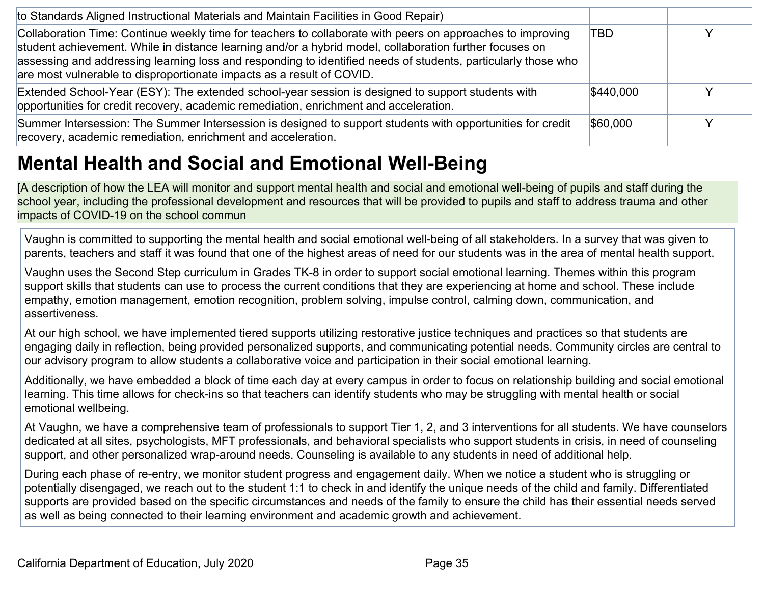| to Standards Aligned Instructional Materials and Maintain Facilities in Good Repair)                                                                                                                                                                                                                                                                                                                            |           |  |
|-----------------------------------------------------------------------------------------------------------------------------------------------------------------------------------------------------------------------------------------------------------------------------------------------------------------------------------------------------------------------------------------------------------------|-----------|--|
| Collaboration Time: Continue weekly time for teachers to collaborate with peers on approaches to improving<br>student achievement. While in distance learning and/or a hybrid model, collaboration further focuses on<br>assessing and addressing learning loss and responding to identified needs of students, particularly those who<br>are most vulnerable to disproportionate impacts as a result of COVID. | TBD       |  |
| Extended School-Year (ESY): The extended school-year session is designed to support students with<br>opportunities for credit recovery, academic remediation, enrichment and acceleration.                                                                                                                                                                                                                      | \$440,000 |  |
| Summer Intersession: The Summer Intersession is designed to support students with opportunities for credit<br>recovery, academic remediation, enrichment and acceleration.                                                                                                                                                                                                                                      | \$60,000  |  |

# <span id="page-34-0"></span>**Mental Health and Social and Emotional Well-Being**

[A description of how the LEA will monitor and support mental health and social and emotional well-being of pupils and staff during the school year, including the professional development and resources that will be provided to pupils and staff to address trauma and other impacts of COVID-19 on the school commun

Vaughn is committed to supporting the mental health and social emotional well-being of all stakeholders. In a survey that was given to parents, teachers and staff it was found that one of the highest areas of need for our students was in the area of mental health support.

Vaughn uses the Second Step curriculum in Grades TK-8 in order to support social emotional learning. Themes within this program support skills that students can use to process the current conditions that they are experiencing at home and school. These include empathy, emotion management, emotion recognition, problem solving, impulse control, calming down, communication, and assertiveness.

At our high school, we have implemented tiered supports utilizing restorative justice techniques and practices so that students are engaging daily in reflection, being provided personalized supports, and communicating potential needs. Community circles are central to our advisory program to allow students a collaborative voice and participation in their social emotional learning.

Additionally, we have embedded a block of time each day at every campus in order to focus on relationship building and social emotional learning. This time allows for check-ins so that teachers can identify students who may be struggling with mental health or social emotional wellbeing.

At Vaughn, we have a comprehensive team of professionals to support Tier 1, 2, and 3 interventions for all students. We have counselors dedicated at all sites, psychologists, MFT professionals, and behavioral specialists who support students in crisis, in need of counseling support, and other personalized wrap-around needs. Counseling is available to any students in need of additional help.

During each phase of re-entry, we monitor student progress and engagement daily. When we notice a student who is struggling or potentially disengaged, we reach out to the student 1:1 to check in and identify the unique needs of the child and family. Differentiated supports are provided based on the specific circumstances and needs of the family to ensure the child has their essential needs served as well as being connected to their learning environment and academic growth and achievement.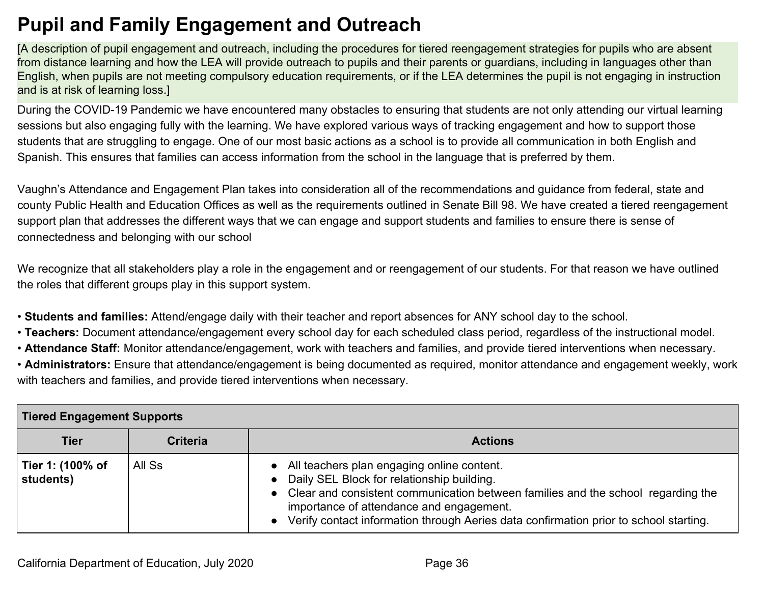# <span id="page-35-0"></span>**Pupil and Family Engagement and Outreach**

[A description of pupil engagement and outreach, including the procedures for tiered reengagement strategies for pupils who are absent from distance learning and how the LEA will provide outreach to pupils and their parents or guardians, including in languages other than English, when pupils are not meeting compulsory education requirements, or if the LEA determines the pupil is not engaging in instruction and is at risk of learning loss.]

During the COVID-19 Pandemic we have encountered many obstacles to ensuring that students are not only attending our virtual learning sessions but also engaging fully with the learning. We have explored various ways of tracking engagement and how to support those students that are struggling to engage. One of our most basic actions as a school is to provide all communication in both English and Spanish. This ensures that families can access information from the school in the language that is preferred by them.

Vaughn's Attendance and Engagement Plan takes into consideration all of the recommendations and guidance from federal, state and county Public Health and Education Offices as well as the requirements outlined in Senate Bill 98. We have created a tiered reengagement support plan that addresses the different ways that we can engage and support students and families to ensure there is sense of connectedness and belonging with our school

We recognize that all stakeholders play a role in the engagement and or reengagement of our students. For that reason we have outlined the roles that different groups play in this support system.

• **Students and families:** Attend/engage daily with their teacher and report absences for ANY school day to the school.

- • **Teachers:** Document attendance/engagement every school day for each scheduled class period, regardless of the instructional model.
- • **Attendance Staff:** Monitor attendance/engagement, work with teachers and families, and provide tiered interventions when necessary.
- **Administrators:** Ensure that attendance/engagement is being documented as required, monitor attendance and engagement weekly, work with teachers and families, and provide tiered interventions when necessary.

| Tiered Engagement Supports    |                 |                                                                                                                                                                                                                                                                                                                                    |
|-------------------------------|-----------------|------------------------------------------------------------------------------------------------------------------------------------------------------------------------------------------------------------------------------------------------------------------------------------------------------------------------------------|
| <b>Tier</b>                   | <b>Criteria</b> | <b>Actions</b>                                                                                                                                                                                                                                                                                                                     |
| Tier 1: (100% of<br>students) | All Ss          | All teachers plan engaging online content.<br>$\bullet$<br>Daily SEL Block for relationship building.<br>• Clear and consistent communication between families and the school regarding the<br>importance of attendance and engagement.<br>• Verify contact information through Aeries data confirmation prior to school starting. |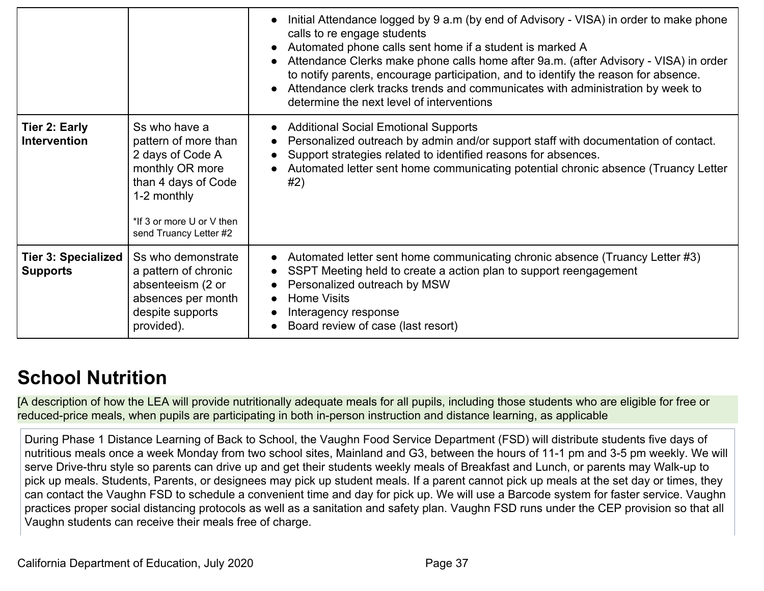|                                               |                                                                                                                                                                           | Initial Attendance logged by 9 a.m (by end of Advisory - VISA) in order to make phone<br>calls to re engage students<br>Automated phone calls sent home if a student is marked A<br>$\bullet$<br>Attendance Clerks make phone calls home after 9a.m. (after Advisory - VISA) in order<br>to notify parents, encourage participation, and to identify the reason for absence.<br>Attendance clerk tracks trends and communicates with administration by week to<br>$\bullet$<br>determine the next level of interventions |
|-----------------------------------------------|---------------------------------------------------------------------------------------------------------------------------------------------------------------------------|--------------------------------------------------------------------------------------------------------------------------------------------------------------------------------------------------------------------------------------------------------------------------------------------------------------------------------------------------------------------------------------------------------------------------------------------------------------------------------------------------------------------------|
| Tier 2: Early<br><b>Intervention</b>          | Ss who have a<br>pattern of more than<br>2 days of Code A<br>monthly OR more<br>than 4 days of Code<br>1-2 monthly<br>*If 3 or more U or V then<br>send Truancy Letter #2 | <b>Additional Social Emotional Supports</b><br>Personalized outreach by admin and/or support staff with documentation of contact.<br>Support strategies related to identified reasons for absences.<br>$\bullet$<br>Automated letter sent home communicating potential chronic absence (Truancy Letter<br>$\bullet$<br>#2)                                                                                                                                                                                               |
| <b>Tier 3: Specialized</b><br><b>Supports</b> | Ss who demonstrate<br>a pattern of chronic<br>absenteeism (2 or<br>absences per month<br>despite supports<br>provided).                                                   | Automated letter sent home communicating chronic absence (Truancy Letter #3)<br>$\bullet$<br>SSPT Meeting held to create a action plan to support reengagement<br>Personalized outreach by MSW<br><b>Home Visits</b><br>$\bullet$<br>Interagency response<br>$\bullet$<br>Board review of case (last resort)<br>$\bullet$                                                                                                                                                                                                |

# <span id="page-36-0"></span>**School Nutrition**

[A description of how the LEA will provide nutritionally adequate meals for all pupils, including those students who are eligible for free or reduced-price meals, when pupils are participating in both in-person instruction and distance learning, as applicable

During Phase 1 Distance Learning of Back to School, the Vaughn Food Service Department (FSD) will distribute students five days of nutritious meals once a week Monday from two school sites, Mainland and G3, between the hours of 11-1 pm and 3-5 pm weekly. We will serve Drive-thru style so parents can drive up and get their students weekly meals of Breakfast and Lunch, or parents may Walk-up to pick up meals. Students, Parents, or designees may pick up student meals. If a parent cannot pick up meals at the set day or times, they can contact the Vaughn FSD to schedule a convenient time and day for pick up. We will use a Barcode system for faster service. Vaughn practices proper social distancing protocols as well as a sanitation and safety plan. Vaughn FSD runs under the CEP provision so that all Vaughn students can receive their meals free of charge.